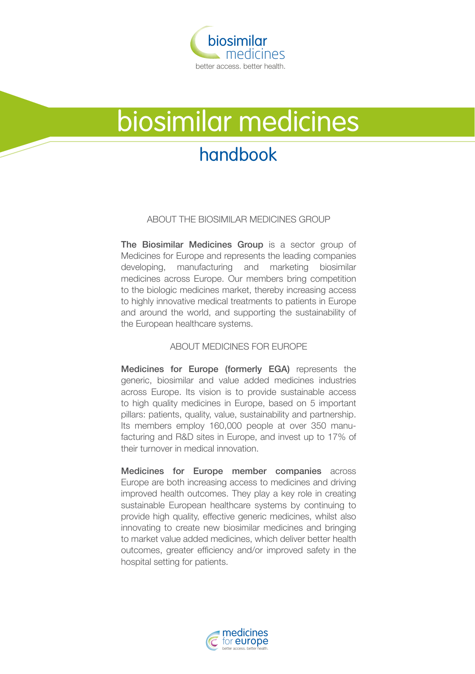

# biosimilar medicines

### handbook

ABOUT THE BIOSIMILAR MEDICINES GROUP

The Biosimilar Medicines Group is a sector group of Medicines for Europe and represents the leading companies developing, manufacturing and marketing biosimilar medicines across Europe. Our members bring competition to the biologic medicines market, thereby increasing access to highly innovative medical treatments to patients in Europe and around the world, and supporting the sustainability of the European healthcare systems.

#### ABOUT MEDICINES FOR EUROPE

Medicines for Europe (formerly EGA) represents the generic, biosimilar and value added medicines industries across Europe. Its vision is to provide sustainable access to high quality medicines in Europe, based on 5 important pillars: patients, quality, value, sustainability and partnership. Its members employ 160,000 people at over 350 manufacturing and R&D sites in Europe, and invest up to 17% of their turnover in medical innovation.

Medicines for Europe member companies across Europe are both increasing access to medicines and driving improved health outcomes. They play a key role in creating sustainable European healthcare systems by continuing to provide high quality, effective generic medicines, whilst also innovating to create new biosimilar medicines and bringing to market value added medicines, which deliver better health outcomes, greater efficiency and/or improved safety in the hospital setting for patients.

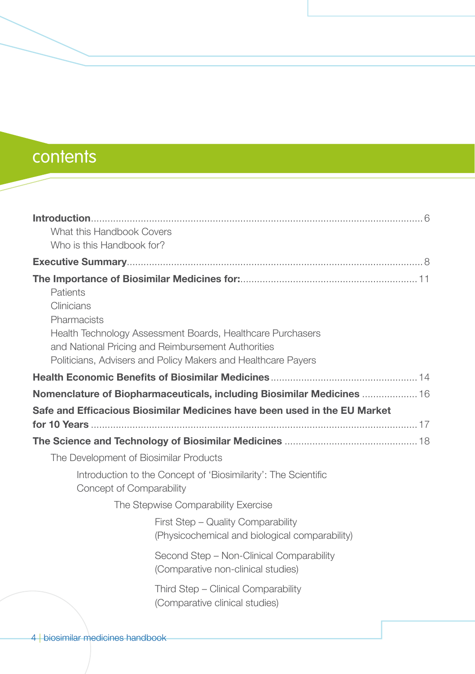### contents

| What this Handbook Covers              |                                                                                                                     |  |
|----------------------------------------|---------------------------------------------------------------------------------------------------------------------|--|
| Who is this Handbook for?              |                                                                                                                     |  |
|                                        |                                                                                                                     |  |
|                                        |                                                                                                                     |  |
| Patients                               |                                                                                                                     |  |
| Clinicians                             |                                                                                                                     |  |
| Pharmacists                            |                                                                                                                     |  |
|                                        | Health Technology Assessment Boards, Healthcare Purchasers                                                          |  |
|                                        | and National Pricing and Reimbursement Authorities<br>Politicians, Advisers and Policy Makers and Healthcare Payers |  |
|                                        |                                                                                                                     |  |
|                                        |                                                                                                                     |  |
|                                        | Nomenclature of Biopharmaceuticals, including Biosimilar Medicines  16                                              |  |
|                                        | Safe and Efficacious Biosimilar Medicines have been used in the EU Market                                           |  |
|                                        |                                                                                                                     |  |
|                                        |                                                                                                                     |  |
|                                        |                                                                                                                     |  |
| The Development of Biosimilar Products |                                                                                                                     |  |
|                                        | Introduction to the Concept of 'Biosimilarity': The Scientific                                                      |  |
| Concept of Comparability               |                                                                                                                     |  |
|                                        | The Stepwise Comparability Exercise                                                                                 |  |
|                                        | First Step - Quality Comparability                                                                                  |  |
|                                        | (Physicochemical and biological comparability)                                                                      |  |
|                                        | Second Step - Non-Clinical Comparability                                                                            |  |
|                                        | (Comparative non-clinical studies)                                                                                  |  |
|                                        | Third Step - Clinical Comparability                                                                                 |  |
|                                        | (Comparative clinical studies)                                                                                      |  |

4 | biosimilar medicines handbook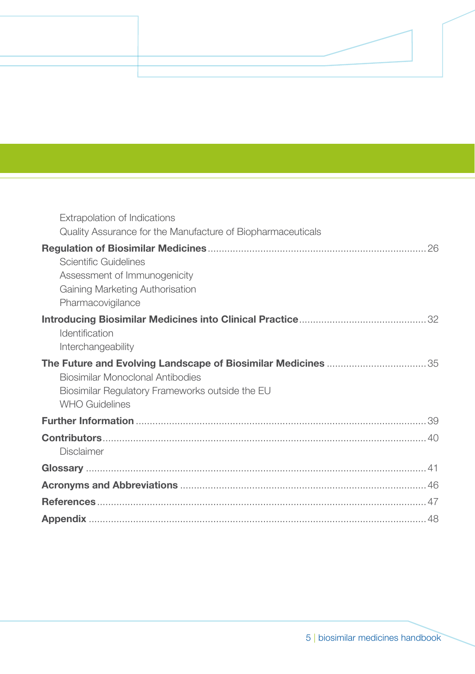| Extrapolation of Indications<br>Quality Assurance for the Manufacture of Biopharmaceuticals                   |
|---------------------------------------------------------------------------------------------------------------|
| Scientific Guidelines<br>Assessment of Immunogenicity<br>Gaining Marketing Authorisation<br>Pharmacovigilance |
| Identification<br>Interchangeability                                                                          |
| Biosimilar Monoclonal Antibodies<br>Biosimilar Regulatory Frameworks outside the EU<br><b>WHO Guidelines</b>  |
|                                                                                                               |
| <b>Disclaimer</b>                                                                                             |
|                                                                                                               |
|                                                                                                               |
|                                                                                                               |
|                                                                                                               |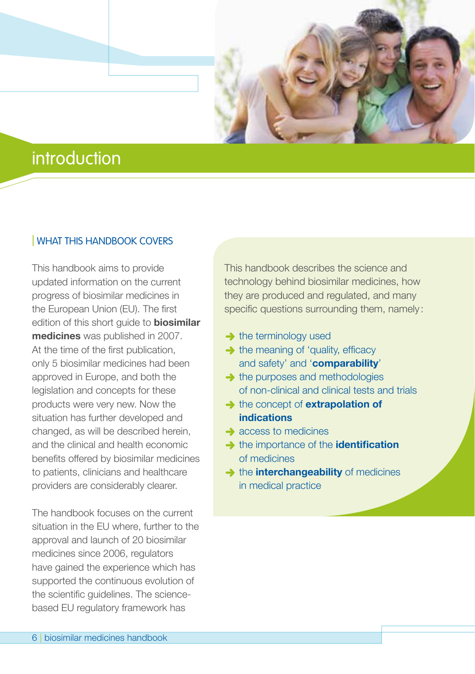

### introduction

#### | What this Handbook Covers

This handbook aims to provide updated information on the current progress of biosimilar medicines in the European Union (EU). The first edition of this short guide to **biosimilar medicines** was published in 2007. At the time of the first publication, only 5 biosimilar medicines had been approved in Europe, and both the legislation and concepts for these products were very new. Now the situation has further developed and changed, as will be described herein, and the clinical and health economic benefits offered by biosimilar medicines to patients, clinicians and healthcare providers are considerably clearer.

The handbook focuses on the current situation in the EU where, further to the approval and launch of 20 biosimilar medicines since 2006, regulators have gained the experience which has supported the continuous evolution of the scientific guidelines. The sciencebased EU regulatory framework has

This handbook describes the science and technology behind biosimilar medicines, how they are produced and regulated, and many specific questions surrounding them, namely :

- $\rightarrow$  the terminology used
- $\rightarrow$  the meaning of 'quality, efficacy and safety' and '**comparability**'
- $\rightarrow$  the purposes and methodologies of non-clinical and clinical tests and trials
- $\rightarrow$  the concept of **extrapolation of indications**
- $\rightarrow$  access to medicines
- $\rightarrow$  the importance of the **identification** of medicines
- $\rightarrow$  the **interchangeability** of medicines in medical practice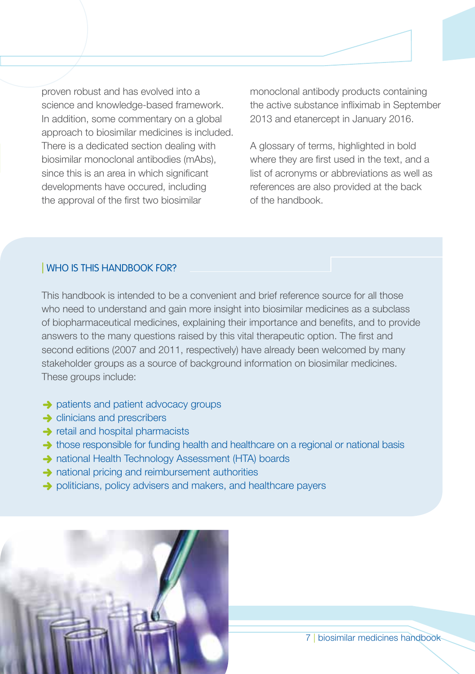proven robust and has evolved into a science and knowledge-based framework. In addition, some commentary on a global approach to biosimilar medicines is included. There is a dedicated section dealing with biosimilar monoclonal antibodies (mAbs), since this is an area in which significant developments have occured, including the approval of the first two biosimilar

monoclonal antibody products containing the active substance infliximab in September 2013 and etanercept in January 2016.

A glossary of terms, highlighted in bold where they are first used in the text, and a list of acronyms or abbreviations as well as references are also provided at the back of the handbook.

#### | Who IS this Handbook for?

This handbook is intended to be a convenient and brief reference source for all those who need to understand and gain more insight into biosimilar medicines as a subclass of biopharmaceutical medicines, explaining their importance and benefits, and to provide answers to the many questions raised by this vital therapeutic option. The first and second editions (2007 and 2011, respectively) have already been welcomed by many stakeholder groups as a source of background information on biosimilar medicines. These groups include:

- $\rightarrow$  patients and patient advocacy groups
- $\rightarrow$  clinicians and prescribers
- $\rightarrow$  retail and hospital pharmacists
- $\rightarrow$  those responsible for funding health and healthcare on a regional or national basis
- $\rightarrow$  national Health Technology Assessment (HTA) boards
- $\rightarrow$  national pricing and reimbursement authorities
- $\rightarrow$  politicians, policy advisers and makers, and healthcare payers

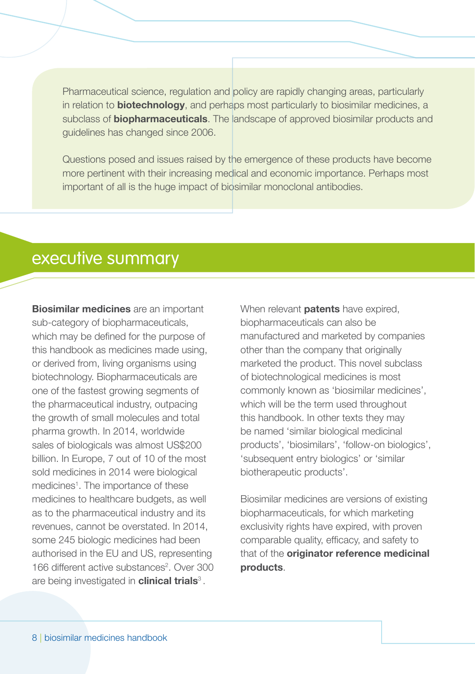Pharmaceutical science, regulation and policy are rapidly changing areas, particularly in relation to **biotechnology**, and perhaps most particularly to biosimilar medicines, a subclass of **biopharmaceuticals**. The landscape of approved biosimilar products and guidelines has changed since 2006.

Questions posed and issues raised by the emergence of these products have become more pertinent with their increasing medical and economic importance. Perhaps most important of all is the huge impact of biosimilar monoclonal antibodies.

### executive summary

**Biosimilar medicines** are an important sub-category of biopharmaceuticals, which may be defined for the purpose of this handbook as medicines made using, or derived from, living organisms using biotechnology. Biopharmaceuticals are one of the fastest growing segments of the pharmaceutical industry, outpacing the growth of small molecules and total pharma growth. In 2014, worldwide sales of biologicals was almost US\$200 billion. In Europe, 7 out of 10 of the most sold medicines in 2014 were biological medicines<sup>1</sup>. The importance of these medicines to healthcare budgets, as well as to the pharmaceutical industry and its revenues, cannot be overstated. In 2014, some 245 biologic medicines had been authorised in the EU and US, representing 166 different active substances<sup>2</sup>. Over 300 are being investigated in **clinical trials**3 .

When relevant **patents** have expired, biopharmaceuticals can also be manufactured and marketed by companies other than the company that originally marketed the product. This novel subclass of biotechnological medicines is most commonly known as 'biosimilar medicines', which will be the term used throughout this handbook. In other texts they may be named 'similar biological medicinal products', 'biosimilars', 'follow-on biologics', 'subsequent entry biologics' or 'similar biotherapeutic products'.

Biosimilar medicines are versions of existing biopharmaceuticals, for which marketing exclusivity rights have expired, with proven comparable quality, efficacy, and safety to that of the **originator reference medicinal products**.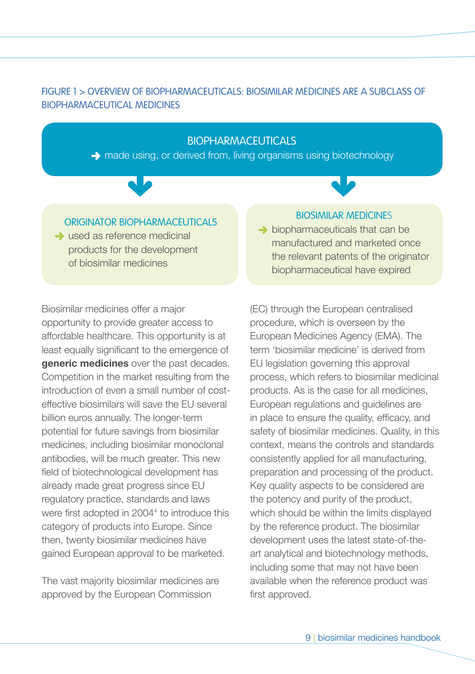#### Figure 1 > Overview of biopharmaceuticals: biosimilar medicines are a subclass of BIOPHARMACEUTICAL MEDICINES

#### BIOPHARMACEUTICALS

 $\rightarrow$  made using, or derived from, living organisms using biotechnology

#### Originator biopharmaceuticals

 $\rightarrow$  used as reference medicinal products for the development of biosimilar medicines

Biosimilar medicines offer a major opportunity to provide greater access to affordable healthcare. This opportunity is at least equally significant to the emergence of **generic medicines** over the past decades. Competition in the market resulting from the introduction of even a small number of costeffective biosimilars will save the EU several billion euros annually. The longer-term potential for future savings from biosimilar medicines, including biosimilar monoclonal antibodies, will be much greater. This new field of biotechnological development has already made great progress since EU regulatory practice, standards and laws were first adopted in 2004<sup>4</sup> to introduce this category of products into Europe. Since then, twenty biosimilar medicines have gained European approval to be marketed.

The vast majority biosimilar medicines are approved by the European Commission

#### Biosimilar medicines

 $\rightarrow$  biopharmaceuticals that can be manufactured and marketed once the relevant patents of the originator biopharmaceutical have expired

(EC) through the European centralised procedure, which is overseen by the European Medicines Agency (EMA). The term 'biosimilar medicine' is derived from EU legislation governing this approval process, which refers to biosimilar medicinal products. As is the case for all medicines, European regulations and guidelines are in place to ensure the quality, efficacy, and safety of biosimilar medicines. Quality, in this context, means the controls and standards consistently applied for all manufacturing, preparation and processing of the product. Key quality aspects to be considered are the potency and purity of the product, which should be within the limits displayed by the reference product. The biosimilar development uses the latest state-of-theart analytical and biotechnology methods, including some that may not have been available when the reference product was first approved.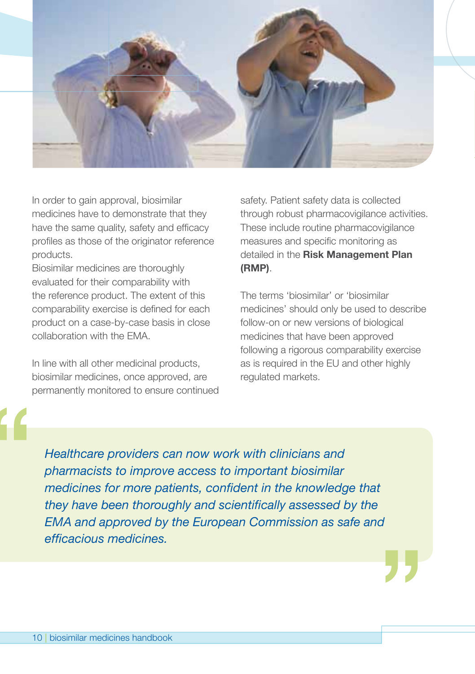

In order to gain approval, biosimilar medicines have to demonstrate that they have the same quality, safety and efficacy profiles as those of the originator reference products.

Biosimilar medicines are thoroughly evaluated for their comparability with the reference product. The extent of this comparability exercise is defined for each product on a case-by-case basis in close collaboration with the EMA.

In line with all other medicinal products, biosimilar medicines, once approved, are permanently monitored to ensure continued

safety. Patient safety data is collected through robust pharmacovigilance activities. These include routine pharmacovigilance measures and specific monitoring as detailed in the **Risk Management Plan (RMP)**.

The terms 'biosimilar' or 'biosimilar medicines' should only be used to describe follow-on or new versions of biological medicines that have been approved following a rigorous comparability exercise as is required in the EU and other highly regulated markets.

*Healthcare providers can now work with clinicians and pharmacists to improve access to important biosimilar medicines for more patients, confident in the knowledge that they have been thoroughly and scientifically assessed by the EMA and approved by the European Commission as safe and efficacious medicines.*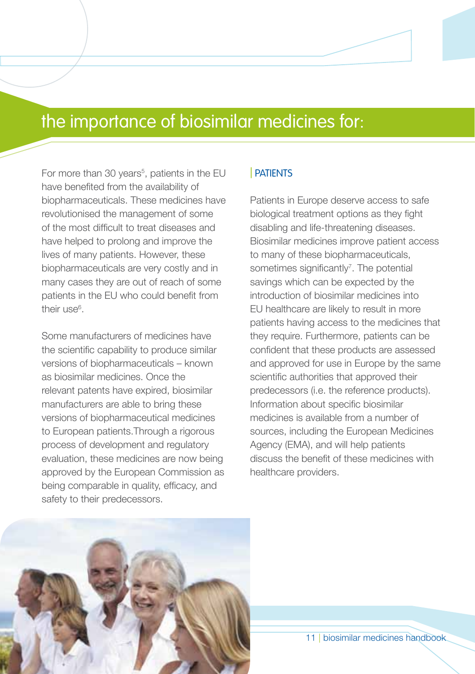### the importance of biosimilar medicines for:

For more than 30 years<sup>5</sup>, patients in the EU have benefited from the availability of biopharmaceuticals. These medicines have revolutionised the management of some of the most difficult to treat diseases and have helped to prolong and improve the lives of many patients. However, these biopharmaceuticals are very costly and in many cases they are out of reach of some patients in the EU who could benefit from their use $6$ .

Some manufacturers of medicines have the scientific capability to produce similar versions of biopharmaceuticals – known as biosimilar medicines. Once the relevant patents have expired, biosimilar manufacturers are able to bring these versions of biopharmaceutical medicines to European patients.Through a rigorous process of development and regulatory evaluation, these medicines are now being approved by the European Commission as being comparable in quality, efficacy, and safety to their predecessors.

#### | Patients

Patients in Europe deserve access to safe biological treatment options as they fight disabling and life-threatening diseases. Biosimilar medicines improve patient access to many of these biopharmaceuticals, sometimes significantly<sup>7</sup>. The potential savings which can be expected by the introduction of biosimilar medicines into EU healthcare are likely to result in more patients having access to the medicines that they require. Furthermore, patients can be confident that these products are assessed and approved for use in Europe by the same scientific authorities that approved their predecessors (i.e. the reference products). Information about specific biosimilar medicines is available from a number of sources, including the European Medicines Agency (EMA), and will help patients discuss the benefit of these medicines with healthcare providers.

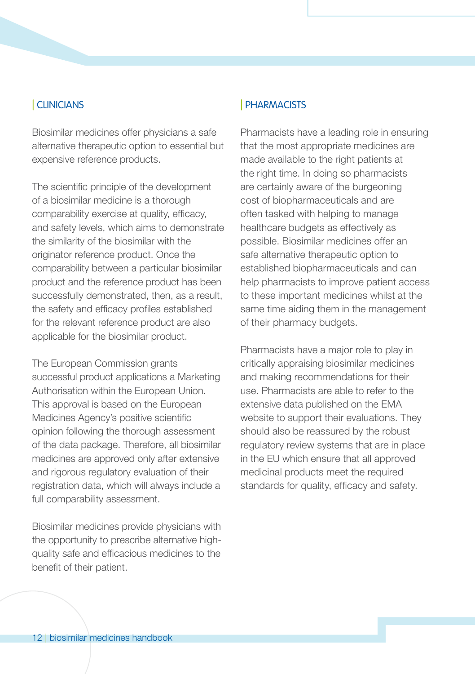#### | Clinicians

Biosimilar medicines offer physicians a safe alternative therapeutic option to essential but expensive reference products.

The scientific principle of the development of a biosimilar medicine is a thorough comparability exercise at quality, efficacy, and safety levels, which aims to demonstrate the similarity of the biosimilar with the originator reference product. Once the comparability between a particular biosimilar product and the reference product has been successfully demonstrated, then, as a result, the safety and efficacy profiles established for the relevant reference product are also applicable for the biosimilar product.

The European Commission grants successful product applications a Marketing Authorisation within the European Union. This approval is based on the European Medicines Agency's positive scientific opinion following the thorough assessment of the data package. Therefore, all biosimilar medicines are approved only after extensive and rigorous regulatory evaluation of their registration data, which will always include a full comparability assessment.

Biosimilar medicines provide physicians with the opportunity to prescribe alternative highquality safe and efficacious medicines to the benefit of their patient.

#### | Pharmacists

Pharmacists have a leading role in ensuring that the most appropriate medicines are made available to the right patients at the right time. In doing so pharmacists are certainly aware of the burgeoning cost of biopharmaceuticals and are often tasked with helping to manage healthcare budgets as effectively as possible. Biosimilar medicines offer an safe alternative therapeutic option to established biopharmaceuticals and can help pharmacists to improve patient access to these important medicines whilst at the same time aiding them in the management of their pharmacy budgets.

Pharmacists have a major role to play in critically appraising biosimilar medicines and making recommendations for their use. Pharmacists are able to refer to the extensive data published on the EMA website to support their evaluations. They should also be reassured by the robust regulatory review systems that are in place in the EU which ensure that all approved medicinal products meet the required standards for quality, efficacy and safety.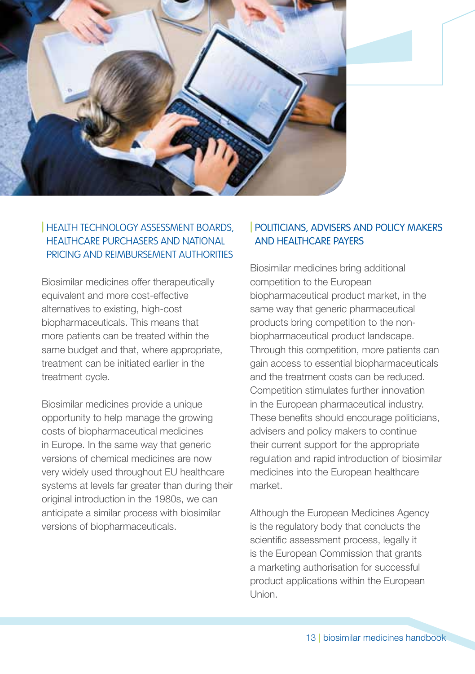

#### | Health Technology Assessment Boards, Healthcare Purchasers and National PRICING AND REIMBURSEMENT AUTHORITIES

Biosimilar medicines offer therapeutically equivalent and more cost-effective alternatives to existing, high-cost biopharmaceuticals. This means that more patients can be treated within the same budget and that, where appropriate, treatment can be initiated earlier in the treatment cycle.

Biosimilar medicines provide a unique opportunity to help manage the growing costs of biopharmaceutical medicines in Europe. In the same way that generic versions of chemical medicines are now very widely used throughout EU healthcare systems at levels far greater than during their original introduction in the 1980s, we can anticipate a similar process with biosimilar versions of biopharmaceuticals.

#### | Politicians, Advisers and Policy Makers and Healthcare Payers

Biosimilar medicines bring additional competition to the European biopharmaceutical product market, in the same way that generic pharmaceutical products bring competition to the nonbiopharmaceutical product landscape. Through this competition, more patients can gain access to essential biopharmaceuticals and the treatment costs can be reduced. Competition stimulates further innovation in the European pharmaceutical industry. These benefits should encourage politicians, advisers and policy makers to continue their current support for the appropriate regulation and rapid introduction of biosimilar medicines into the European healthcare market.

Although the European Medicines Agency is the regulatory body that conducts the scientific assessment process, legally it is the European Commission that grants a marketing authorisation for successful product applications within the European Union.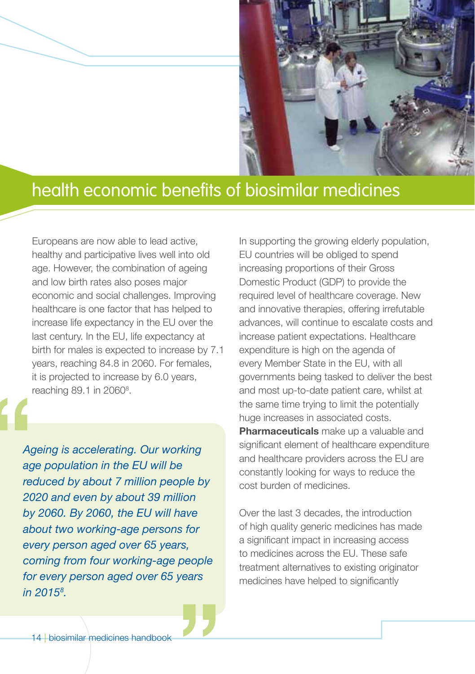

### health economic benefits of biosimilar medicines

Europeans are now able to lead active, healthy and participative lives well into old age. However, the combination of ageing and low birth rates also poses major economic and social challenges. Improving healthcare is one factor that has helped to increase life expectancy in the EU over the last century. In the EU, life expectancy at birth for males is expected to increase by 7.1 years, reaching 84.8 in 2060. For females, it is projected to increase by 6.0 years, reaching 89.1 in 2060<sup>8</sup>.

*Ageing is accelerating. Our working age population in the EU will be reduced by about 7 million people by 2020 and even by about 39 million by 2060. By 2060, the EU will have about two working-age persons for every person aged over 65 years, coming from four working-age people for every person aged over 65 years in 20158 .*

In supporting the growing elderly population, EU countries will be obliged to spend increasing proportions of their Gross Domestic Product (GDP) to provide the required level of healthcare coverage. New and innovative therapies, offering irrefutable advances, will continue to escalate costs and increase patient expectations. Healthcare expenditure is high on the agenda of every Member State in the EU, with all governments being tasked to deliver the best and most up-to-date patient care, whilst at the same time trying to limit the potentially huge increases in associated costs. **Pharmaceuticals** make up a valuable and significant element of healthcare expenditure

and healthcare providers across the EU are constantly looking for ways to reduce the cost burden of medicines.

Over the last 3 decades, the introduction of high quality generic medicines has made a significant impact in increasing access to medicines across the EU. These safe treatment alternatives to existing originator medicines have helped to significantly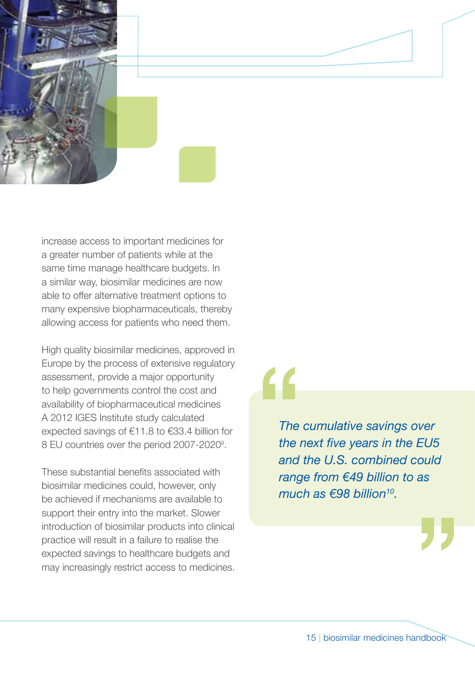

increase access to important medicines for a greater number of patients while at the same time manage healthcare budgets. In a similar way, biosimilar medicines are now able to offer alternative treatment options to many expensive biopharmaceuticals, thereby allowing access for patients who need them.

High quality biosimilar medicines, approved in Europe by the process of extensive regulatory assessment, provide a major opportunity to help governments control the cost and availability of biopharmaceutical medicines A 2012 IGES Institute study calculated expected savings of €11.8 to €33.4 billion for 8 EU countries over the period 2007-2020<sup>9</sup>.

These substantial benefits associated with biosimilar medicines could, however, only be achieved if mechanisms are available to support their entry into the market. Slower introduction of biosimilar products into clinical practice will result in a failure to realise the expected savings to healthcare budgets and may increasingly restrict access to medicines.

*The cumulative savings over the next five years in the EU5 and the U.S. combined could range from €49 billion to as much as €98 billion10.*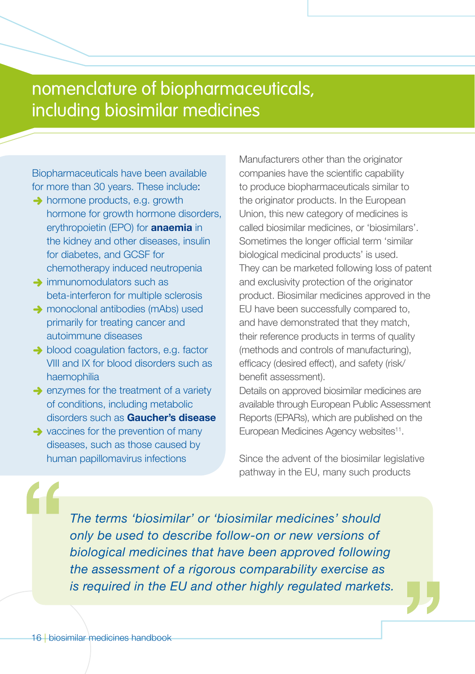### nomenclature of biopharmaceuticals, including biosimilar medicines

Biopharmaceuticals have been available for more than 30 years. These include:

- $\rightarrow$  hormone products, e.g. growth hormone for growth hormone disorders, erythropoietin (EPO) for **anaemia** in the kidney and other diseases, insulin for diabetes, and GCSF for chemotherapy induced neutropenia
- $\rightarrow$  immunomodulators such as beta-interferon for multiple sclerosis
- $\rightarrow$  monoclonal antibodies (mAbs) used primarily for treating cancer and autoimmune diseases
- $\rightarrow$  blood coagulation factors, e.g. factor VIII and IX for blood disorders such as haemophilia
- $\rightarrow$  enzymes for the treatment of a variety of conditions, including metabolic disorders such as **Gaucher's disease**
- $\rightarrow$  vaccines for the prevention of many diseases, such as those caused by human papillomavirus infections

Manufacturers other than the originator companies have the scientific capability to produce biopharmaceuticals similar to the originator products. In the European Union, this new category of medicines is called biosimilar medicines, or 'biosimilars'. Sometimes the longer official term 'similar biological medicinal products' is used. They can be marketed following loss of patent and exclusivity protection of the originator product. Biosimilar medicines approved in the EU have been successfully compared to, and have demonstrated that they match, their reference products in terms of quality (methods and controls of manufacturing), efficacy (desired effect), and safety (risk/ benefit assessment).

Details on approved biosimilar medicines are available through European Public Assessment Reports (EPARs), which are published on the European Medicines Agency websites<sup>11</sup>.

Since the advent of the biosimilar legislative pathway in the EU, many such products

*The terms 'biosimilar' or 'biosimilar medicines' should only be used to describe follow-on or new versions of biological medicines that have been approved following the assessment of a rigorous comparability exercise as is required in the EU and other highly regulated markets.*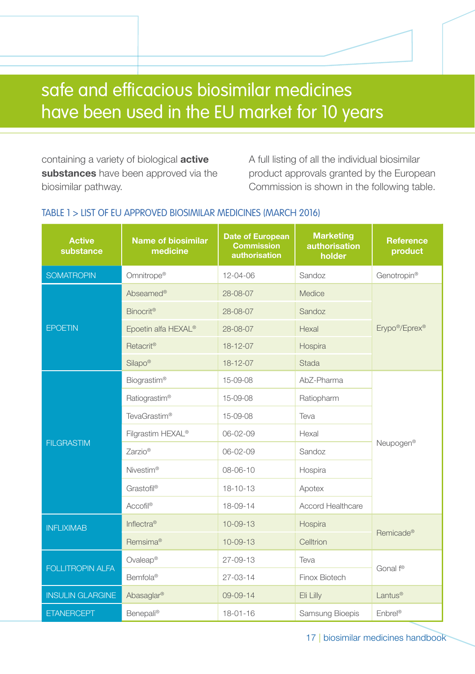### safe and efficacious biosimilar medicines have been used in the EU market for 10 years

containing a variety of biological **active substances** have been approved via the biosimilar pathway.

A full listing of all the individual biosimilar product approvals granted by the European Commission is shown in the following table.

#### Table 1 > List of EU approved biosimilar medicines (March 2016)

| <b>Active</b><br>substance | <b>Name of biosimilar</b><br>medicine | <b>Date of European</b><br><b>Commission</b><br>authorisation | <b>Marketing</b><br>authorisation<br>holder | <b>Reference</b><br>product            |  |
|----------------------------|---------------------------------------|---------------------------------------------------------------|---------------------------------------------|----------------------------------------|--|
| <b>SOMATROPIN</b>          | Omnitrope®                            | 12-04-06                                                      | Sandoz                                      | Genotropin®                            |  |
|                            | Abseamed®                             | 28-08-07                                                      | Medice                                      |                                        |  |
|                            | <b>Binocrit®</b>                      | 28-08-07                                                      | Sandoz                                      |                                        |  |
| <b>EPOETIN</b>             | Epoetin alfa HEXAL®                   | 28-08-07                                                      | Hexal                                       | Erypo <sup>®</sup> /Eprex <sup>®</sup> |  |
|                            | <b>Retacrit®</b>                      | 18-12-07                                                      | Hospira                                     |                                        |  |
|                            | Silapo <sup>®</sup>                   | 18-12-07                                                      | <b>Stada</b>                                |                                        |  |
|                            | <b>Biograstim®</b>                    | 15-09-08                                                      | AbZ-Pharma                                  |                                        |  |
|                            | Ratiograstim®                         | 15-09-08                                                      | Ratiopharm                                  |                                        |  |
|                            | TevaGrastim®                          | 15-09-08                                                      | Teva                                        | Neupogen <sup>®</sup>                  |  |
| <b>FILGRASTIM</b>          | Filgrastim HEXAL®                     | $06 - 02 - 09$                                                | Hexal                                       |                                        |  |
|                            | Zarzio <sup>®</sup>                   | 06-02-09                                                      | Sandoz                                      |                                        |  |
|                            | Nivestim®                             | 08-06-10                                                      | Hospira                                     |                                        |  |
|                            | Grastofil®                            | $18 - 10 - 13$                                                | Apotex                                      |                                        |  |
|                            | Accofil®                              | 18-09-14                                                      | Accord Healthcare                           |                                        |  |
| <b>INFLIXIMAB</b>          | Inflectra <sup>®</sup>                | $10 - 09 - 13$                                                | Hospira                                     |                                        |  |
|                            | Remsima <sup>®</sup>                  | $10 - 09 - 13$                                                | Celltrion                                   | Remicade <sup>®</sup>                  |  |
|                            | $O$ valeap®                           | $27 - 09 - 13$                                                | Teva                                        |                                        |  |
| <b>FOLLITROPIN ALFA</b>    | Bemfola <sup>®</sup>                  | $27 - 03 - 14$                                                | Finox Biotech                               | Gonal f®                               |  |
| <b>INSULIN GLARGINE</b>    | Abasaglar®                            | $09 - 09 - 14$                                                | Eli Lilly                                   | Lantus <sup>®</sup>                    |  |
| <b>ETANERCEPT</b>          | <b>Benepali®</b>                      | $18 - 01 - 16$                                                | Samsung Bioepis                             | Enbrel®                                |  |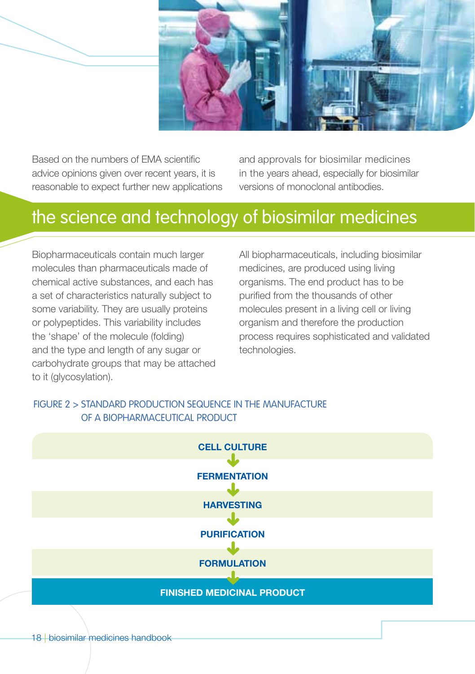

Based on the numbers of EMA scientific advice opinions given over recent years, it is reasonable to expect further new applications and approvals for biosimilar medicines in the years ahead, especially for biosimilar versions of monoclonal antibodies.

### the science and technology of biosimilar medicines

Biopharmaceuticals contain much larger molecules than pharmaceuticals made of chemical active substances, and each has a set of characteristics naturally subject to some variability. They are usually proteins or polypeptides. This variability includes the 'shape' of the molecule (folding) and the type and length of any sugar or carbohydrate groups that may be attached to it (glycosylation).

All biopharmaceuticals, including biosimilar medicines, are produced using living organisms. The end product has to be purified from the thousands of other molecules present in a living cell or living organism and therefore the production process requires sophisticated and validated technologies.

#### FIGURE 2  $>$  STANDARD PRODUCTION SEQUENCE IN THE MANUFACTURE OF A BIOPHARMACEUTICAL PRODUCT

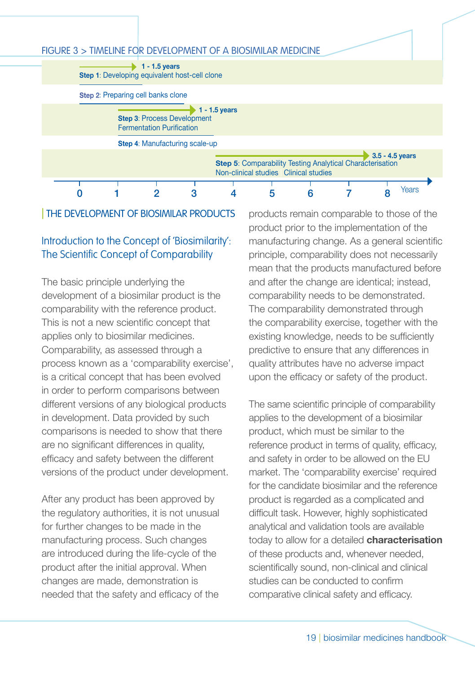#### Figure 3 > Timeline for development of a biosimilar medicine

|  | Step 1: Developing equivalent host-cell clone | $1 - 1.5$ years                                                        |                 |                                       |   |                                                                  |                   |
|--|-----------------------------------------------|------------------------------------------------------------------------|-----------------|---------------------------------------|---|------------------------------------------------------------------|-------------------|
|  | Step 2: Preparing cell banks clone            |                                                                        |                 |                                       |   |                                                                  |                   |
|  |                                               | <b>Step 3: Process Development</b><br><b>Fermentation Purification</b> | $1 - 1.5$ years |                                       |   |                                                                  |                   |
|  |                                               | Step 4: Manufacturing scale-up                                         |                 |                                       |   |                                                                  |                   |
|  |                                               |                                                                        |                 | Non-clinical studies Clinical studies |   | <b>Step 5: Comparability Testing Analytical Characterisation</b> | $3.5 - 4.5$ years |
|  |                                               |                                                                        |                 |                                       | 6 |                                                                  | Years             |

#### | The Development of Biosimilar Products

#### Introduction to the Concept of 'Biosimilarity': The Scientific Concept of Comparability

The basic principle underlying the development of a biosimilar product is the comparability with the reference product. This is not a new scientific concept that applies only to biosimilar medicines. Comparability, as assessed through a process known as a 'comparability exercise', is a critical concept that has been evolved in order to perform comparisons between different versions of any biological products in development. Data provided by such comparisons is needed to show that there are no significant differences in quality. efficacy and safety between the different versions of the product under development.

After any product has been approved by the regulatory authorities, it is not unusual for further changes to be made in the manufacturing process. Such changes are introduced during the life-cycle of the product after the initial approval. When changes are made, demonstration is needed that the safety and efficacy of the products remain comparable to those of the product prior to the implementation of the manufacturing change. As a general scientific principle, comparability does not necessarily mean that the products manufactured before and after the change are identical; instead, comparability needs to be demonstrated. The comparability demonstrated through the comparability exercise, together with the existing knowledge, needs to be sufficiently predictive to ensure that any differences in quality attributes have no adverse impact upon the efficacy or safety of the product.

The same scientific principle of comparability applies to the development of a biosimilar product, which must be similar to the reference product in terms of quality, efficacy, and safety in order to be allowed on the EU market. The 'comparability exercise' required for the candidate biosimilar and the reference product is regarded as a complicated and difficult task. However, highly sophisticated analytical and validation tools are available today to allow for a detailed **characterisation** of these products and, whenever needed, scientifically sound, non-clinical and clinical studies can be conducted to confirm comparative clinical safety and efficacy.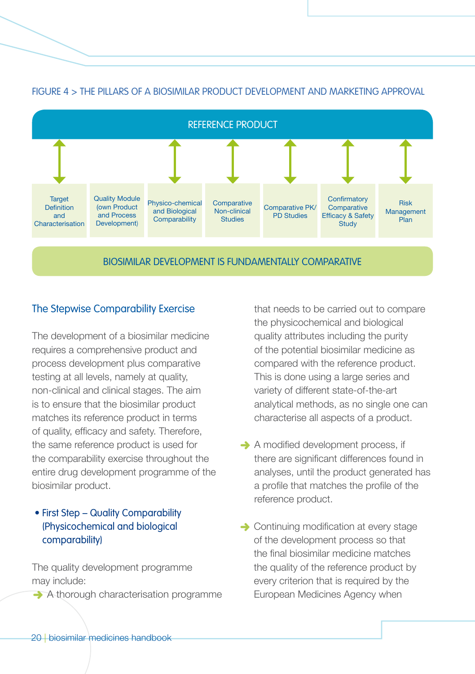



#### Biosimilar development is fundamentally comparative

#### The Stepwise Comparability Exercise

The development of a biosimilar medicine requires a comprehensive product and process development plus comparative testing at all levels, namely at quality, non-clinical and clinical stages. The aim is to ensure that the biosimilar product matches its reference product in terms of quality, efficacy and safety. Therefore, the same reference product is used for the comparability exercise throughout the entire drug development programme of the biosimilar product.

#### • First Step – Quality Comparability (Physicochemical and biological comparability)

The quality development programme may include:

 $\rightarrow$  A thorough characterisation programme

that needs to be carried out to compare the physicochemical and biological quality attributes including the purity of the potential biosimilar medicine as compared with the reference product. This is done using a large series and variety of different state-of-the-art analytical methods, as no single one can characterise all aspects of a product.

- $\rightarrow$  A modified development process, if there are significant differences found in analyses, until the product generated has a profile that matches the profile of the reference product.
- $\rightarrow$  Continuing modification at every stage of the development process so that the final biosimilar medicine matches the quality of the reference product by every criterion that is required by the European Medicines Agency when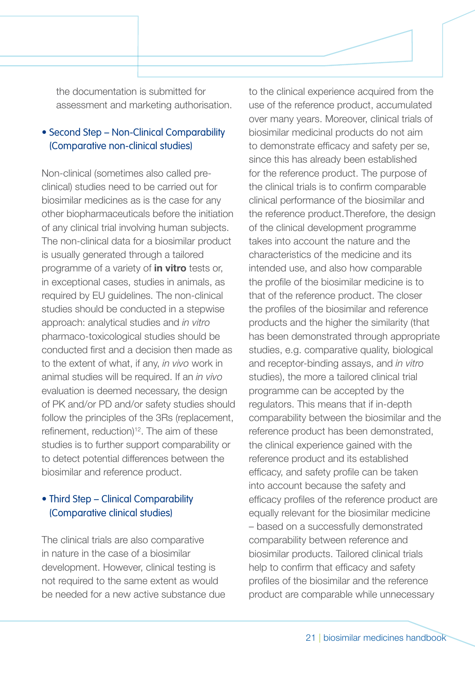the documentation is submitted for assessment and marketing authorisation.

#### • Second Step – Non-Clinical Comparability (Comparative non-clinical studies)

Non-clinical (sometimes also called preclinical) studies need to be carried out for biosimilar medicines as is the case for any other biopharmaceuticals before the initiation of any clinical trial involving human subjects. The non-clinical data for a biosimilar product is usually generated through a tailored programme of a variety of **in vitro** tests or, in exceptional cases, studies in animals, as required by EU guidelines. The non-clinical studies should be conducted in a stepwise approach: analytical studies and *in vitro* pharmaco-toxicological studies should be conducted first and a decision then made as to the extent of what, if any, *in vivo* work in animal studies will be required. If an *in vivo* evaluation is deemed necessary, the design of PK and/or PD and/or safety studies should follow the principles of the 3Rs (replacement, refinement, reduction<sup>12</sup>. The aim of these studies is to further support comparability or to detect potential differences between the biosimilar and reference product.

#### • Third Step – Clinical Comparability (Comparative clinical studies)

The clinical trials are also comparative in nature in the case of a biosimilar development. However, clinical testing is not required to the same extent as would be needed for a new active substance due to the clinical experience acquired from the use of the reference product, accumulated over many years. Moreover, clinical trials of biosimilar medicinal products do not aim to demonstrate efficacy and safety per se, since this has already been established for the reference product. The purpose of the clinical trials is to confirm comparable clinical performance of the biosimilar and the reference product.Therefore, the design of the clinical development programme takes into account the nature and the characteristics of the medicine and its intended use, and also how comparable the profile of the biosimilar medicine is to that of the reference product. The closer the profiles of the biosimilar and reference products and the higher the similarity (that has been demonstrated through appropriate studies, e.g. comparative quality, biological and receptor-binding assays, and *in vitro* studies), the more a tailored clinical trial programme can be accepted by the regulators. This means that if in-depth comparability between the biosimilar and the reference product has been demonstrated, the clinical experience gained with the reference product and its established efficacy, and safety profile can be taken into account because the safety and efficacy profiles of the reference product are equally relevant for the biosimilar medicine – based on a successfully demonstrated comparability between reference and biosimilar products. Tailored clinical trials help to confirm that efficacy and safety profiles of the biosimilar and the reference product are comparable while unnecessary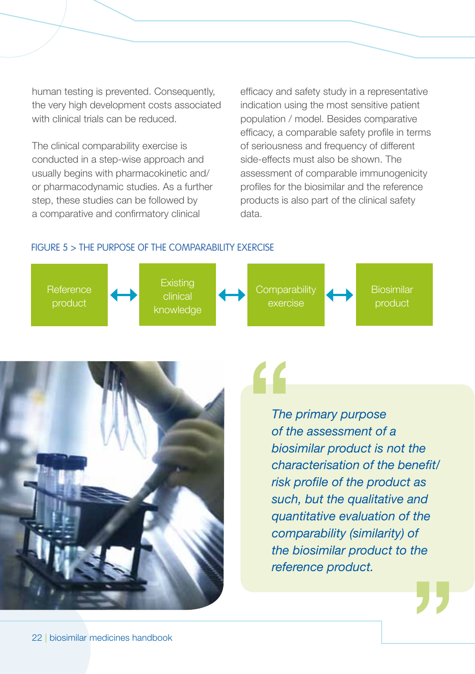human testing is prevented. Consequently, the very high development costs associated with clinical trials can be reduced.

The clinical comparability exercise is conducted in a step-wise approach and usually begins with pharmacokinetic and/ or pharmacodynamic studies. As a further step, these studies can be followed by a comparative and confirmatory clinical

efficacy and safety study in a representative indication using the most sensitive patient population / model. Besides comparative efficacy, a comparable safety profile in terms of seriousness and frequency of different side-effects must also be shown. The assessment of comparable immunogenicity profiles for the biosimilar and the reference products is also part of the clinical safety data.

#### FIGURE 5 S THE PURPOSE OF THE COMPARABILITY EXERCISE





*The primary purpose of the assessment of a biosimilar product is not the characterisation of the benefit/ risk profile of the product as such, but the qualitative and quantitative evaluation of the comparability (similarity) of the biosimilar product to the reference product.*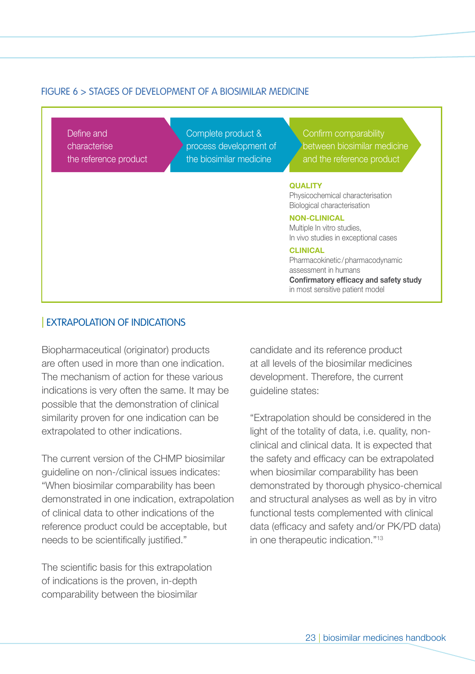#### figure 6 > stages of development of a biosimilar medicine

| Define and<br>characterise<br>the reference product | Complete product &<br>process development of<br>the biosimilar medicine | Confirm comparability<br>between biosimilar medicine<br>and the reference product                                                                       |
|-----------------------------------------------------|-------------------------------------------------------------------------|---------------------------------------------------------------------------------------------------------------------------------------------------------|
|                                                     |                                                                         | <b>QUALITY</b><br>Physicochemical characterisation<br>Biological characterisation                                                                       |
|                                                     |                                                                         | <b>NON-CLINICAL</b><br>Multiple In vitro studies,<br>In vivo studies in exceptional cases                                                               |
|                                                     |                                                                         | <b>CLINICAL</b><br>Pharmacokinetic/pharmacodynamic<br>assessment in humans<br>Confirmatory efficacy and safety study<br>in most sensitive patient model |

#### | Extrapolation of Indications

Biopharmaceutical (originator) products are often used in more than one indication. The mechanism of action for these various indications is very often the same. It may be possible that the demonstration of clinical similarity proven for one indication can be extrapolated to other indications.

The current version of the CHMP biosimilar guideline on non-/clinical issues indicates: "When biosimilar comparability has been demonstrated in one indication, extrapolation of clinical data to other indications of the reference product could be acceptable, but needs to be scientifically justified."

The scientific basis for this extrapolation of indications is the proven, in-depth comparability between the biosimilar

candidate and its reference product at all levels of the biosimilar medicines development. Therefore, the current guideline states:

"Extrapolation should be considered in the light of the totality of data, i.e. quality, nonclinical and clinical data. It is expected that the safety and efficacy can be extrapolated when biosimilar comparability has been demonstrated by thorough physico-chemical and structural analyses as well as by in vitro functional tests complemented with clinical data (efficacy and safety and/or PK/PD data) in one therapeutic indication."13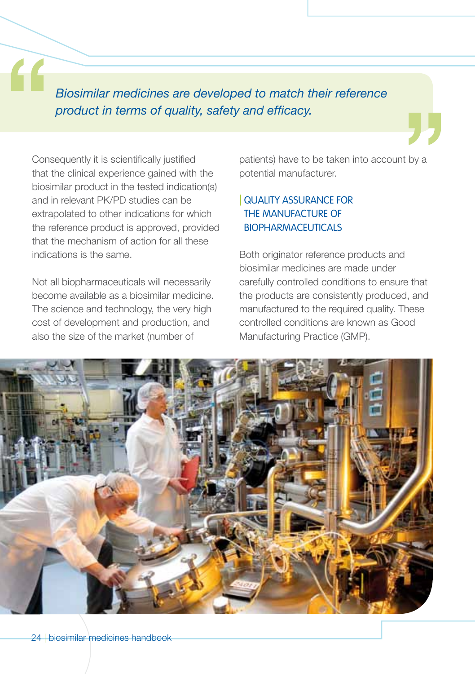*Biosimilar medicines are developed to match their reference product in terms of quality, safety and efficacy.*

Consequently it is scientifically justified that the clinical experience gained with the biosimilar product in the tested indication(s) and in relevant PK/PD studies can be extrapolated to other indications for which the reference product is approved, provided that the mechanism of action for all these indications is the same.

Not all biopharmaceuticals will necessarily become available as a biosimilar medicine. The science and technology, the very high cost of development and production, and also the size of the market (number of

patients) have to be taken into account by a potential manufacturer.

#### | Quality Assurance for THE MANUFACTURE OF BIOPHARMACEUTICALS

Both originator reference products and biosimilar medicines are made under carefully controlled conditions to ensure that the products are consistently produced, and manufactured to the required quality. These controlled conditions are known as Good Manufacturing Practice (GMP).

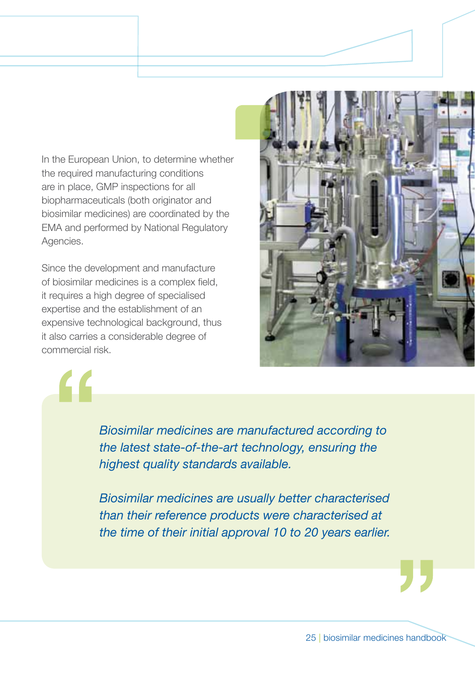In the European Union, to determine whether the required manufacturing conditions are in place, GMP inspections for all biopharmaceuticals (both originator and biosimilar medicines) are coordinated by the EMA and performed by National Regulatory Agencies.

Since the development and manufacture of biosimilar medicines is a complex field, it requires a high degree of specialised expertise and the establishment of an expensive technological background, thus it also carries a considerable degree of commercial risk.



*Biosimilar medicines are manufactured according to the latest state-of-the-art technology, ensuring the highest quality standards available.*

*Biosimilar medicines are usually better characterised than their reference products were characterised at the time of their initial approval 10 to 20 years earlier.*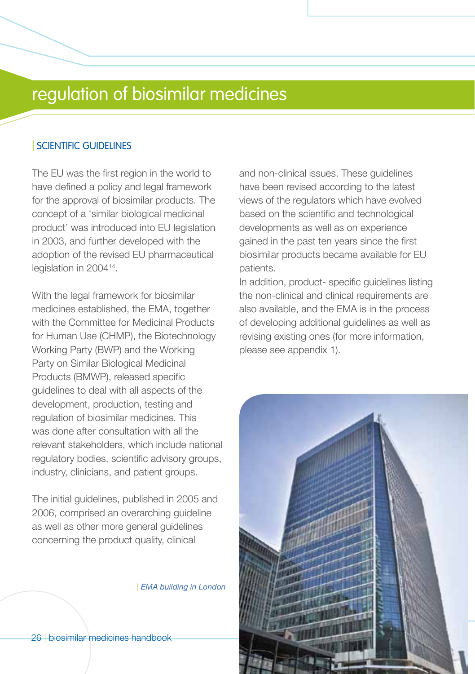### regulation of biosimilar medicines

#### | Scientific Guidelines

The EU was the first region in the world to have defined a policy and legal framework for the approval of biosimilar products. The concept of a 'similar biological medicinal product' was introduced into EU legislation in 2003, and further developed with the adoption of the revised EU pharmaceutical legislation in 200414.

With the legal framework for biosimilar medicines established, the EMA, together with the Committee for Medicinal Products for Human Use (CHMP), the Biotechnology Working Party (BWP) and the Working Party on Similar Biological Medicinal Products (BMWP), released specific guidelines to deal with all aspects of the development, production, testing and regulation of biosimilar medicines. This was done after consultation with all the relevant stakeholders, which include national regulatory bodies, scientific advisory groups, industry, clinicians, and patient groups.

The initial guidelines, published in 2005 and 2006, comprised an overarching guideline as well as other more general guidelines concerning the product quality, clinical

*| EMA building in London*

26 | biosimilar medicines handbook

and non-clinical issues. These guidelines have been revised according to the latest views of the regulators which have evolved based on the scientific and technological developments as well as on experience gained in the past ten years since the first biosimilar products became available for EU patients.

In addition, product- specific guidelines listing the non-clinical and clinical requirements are also available, and the EMA is in the process of developing additional guidelines as well as revising existing ones (for more information, please see appendix 1).

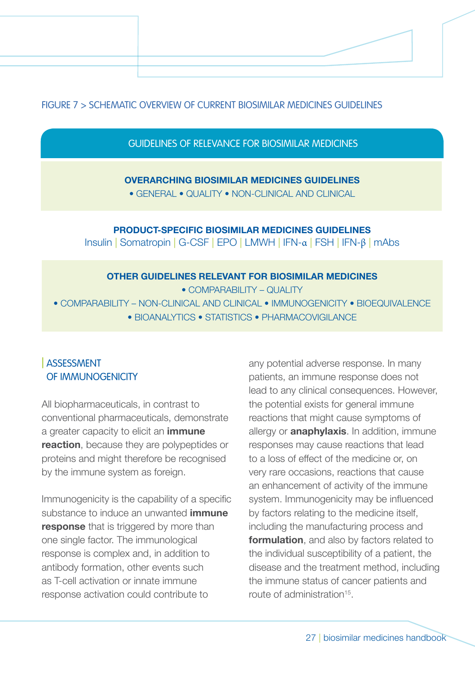Figure 7 > Schematic overview of current biosimilar medicines guidelines

GUIDELINES OF RELEVANCE FOR BIOSIMILAR MEDICINES

#### **OVERARCHING BIOSIMILAR medicines GUIDELINES**

• GENERAL • QUALITY • NON-CLINICAL AND CLINICAL

**PRODUCT-SPECIFIC BIOSIMILAR medicines GUIDELINES** 

Insulin | Somatropin | G-CSF | EPO | LMWH | IFN-α | FSH | IFN-β | mAbs

#### **OTHER GUIDELINES RELEVANT FOR BIOSIMILAR medicines**

• COMPARABILITY – QUALITY

• COMPARABILITY – NON-CLINICAL AND CLINICAL • IMMUNOGENICITY • BIOequivalence • bioanalytics • statistics • pharmacovigilance

#### | Assessment of Immunogenicity

All biopharmaceuticals, in contrast to conventional pharmaceuticals, demonstrate a greater capacity to elicit an **immune reaction**, because they are polypeptides or proteins and might therefore be recognised by the immune system as foreign.

Immunogenicity is the capability of a specific substance to induce an unwanted **immune response** that is triggered by more than one single factor. The immunological response is complex and, in addition to antibody formation, other events such as T-cell activation or innate immune response activation could contribute to

any potential adverse response. In many patients, an immune response does not lead to any clinical consequences. However, the potential exists for general immune reactions that might cause symptoms of allergy or **anaphylaxis**. In addition, immune responses may cause reactions that lead to a loss of effect of the medicine or, on very rare occasions, reactions that cause an enhancement of activity of the immune system. Immunogenicity may be influenced by factors relating to the medicine itself, including the manufacturing process and **formulation**, and also by factors related to the individual susceptibility of a patient, the disease and the treatment method, including the immune status of cancer patients and route of administration15.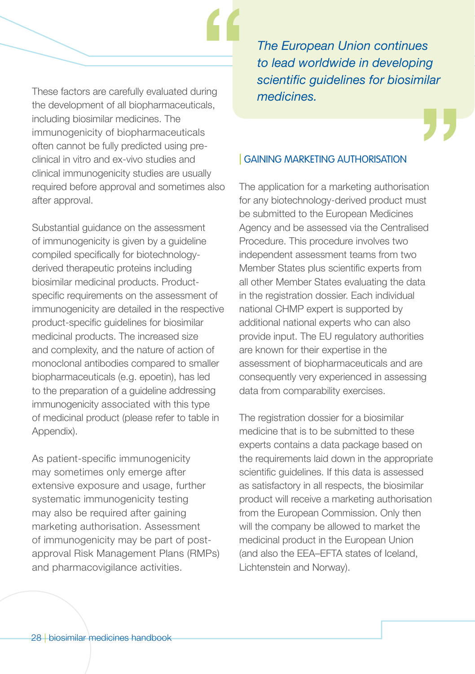These factors are carefully evaluated during the development of all biopharmaceuticals, including biosimilar medicines. The immunogenicity of biopharmaceuticals often cannot be fully predicted using preclinical in vitro and ex-vivo studies and clinical immunogenicity studies are usually required before approval and sometimes also after approval.

Substantial guidance on the assessment of immunogenicity is given by a guideline compiled specifically for biotechnologyderived therapeutic proteins including biosimilar medicinal products. Productspecific requirements on the assessment of immunogenicity are detailed in the respective product-specific guidelines for biosimilar medicinal products. The increased size and complexity, and the nature of action of monoclonal antibodies compared to smaller biopharmaceuticals (e.g. epoetin), has led to the preparation of a guideline addressing immunogenicity associated with this type of medicinal product (please refer to table in Appendix).

As patient-specific immunogenicity may sometimes only emerge after extensive exposure and usage, further systematic immunogenicity testing may also be required after gaining marketing authorisation. Assessment of immunogenicity may be part of postapproval Risk Management Plans (RMPs) and pharmacovigilance activities.

*The European Union continues to lead worldwide in developing scientific guidelines for biosimilar medicines.*

#### | Gaining Marketing Authorisation

The application for a marketing authorisation for any biotechnology-derived product must be submitted to the European Medicines Agency and be assessed via the Centralised Procedure. This procedure involves two independent assessment teams from two Member States plus scientific experts from all other Member States evaluating the data in the registration dossier. Each individual national CHMP expert is supported by additional national experts who can also provide input. The EU regulatory authorities are known for their expertise in the assessment of biopharmaceuticals and are consequently very experienced in assessing data from comparability exercises.

The registration dossier for a biosimilar medicine that is to be submitted to these experts contains a data package based on the requirements laid down in the appropriate scientific guidelines. If this data is assessed as satisfactory in all respects, the biosimilar product will receive a marketing authorisation from the European Commission. Only then will the company be allowed to market the medicinal product in the European Union (and also the EEA–EFTA states of Iceland, Lichtenstein and Norway).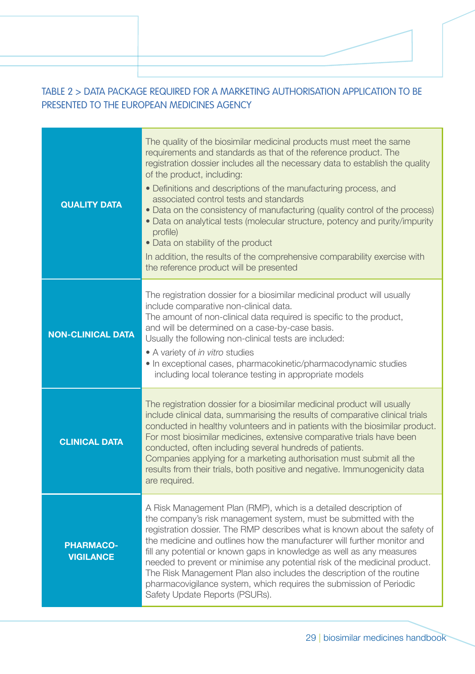#### Table 2 > Data package required for a marketing authorisation application to be presented to the European Medicines Agency

| <b>QUALITY DATA</b>                  | The quality of the biosimilar medicinal products must meet the same<br>requirements and standards as that of the reference product. The<br>registration dossier includes all the necessary data to establish the quality<br>of the product, including:<br>• Definitions and descriptions of the manufacturing process, and<br>associated control tests and standards<br>• Data on the consistency of manufacturing (quality control of the process)<br>• Data on analytical tests (molecular structure, potency and purity/impurity<br>profile)<br>• Data on stability of the product<br>In addition, the results of the comprehensive comparability exercise with<br>the reference product will be presented |  |
|--------------------------------------|---------------------------------------------------------------------------------------------------------------------------------------------------------------------------------------------------------------------------------------------------------------------------------------------------------------------------------------------------------------------------------------------------------------------------------------------------------------------------------------------------------------------------------------------------------------------------------------------------------------------------------------------------------------------------------------------------------------|--|
| <b>NON-CLINICAL DATA</b>             | The registration dossier for a biosimilar medicinal product will usually<br>include comparative non-clinical data.<br>The amount of non-clinical data required is specific to the product,<br>and will be determined on a case-by-case basis.<br>Usually the following non-clinical tests are included:<br>• A variety of in vitro studies<br>• In exceptional cases, pharmacokinetic/pharmacodynamic studies<br>including local tolerance testing in appropriate models                                                                                                                                                                                                                                      |  |
| <b>CLINICAL DATA</b>                 | The registration dossier for a biosimilar medicinal product will usually<br>include clinical data, summarising the results of comparative clinical trials<br>conducted in healthy volunteers and in patients with the biosimilar product.<br>For most biosimilar medicines, extensive comparative trials have been<br>conducted, often including several hundreds of patients.<br>Companies applying for a marketing authorisation must submit all the<br>results from their trials, both positive and negative. Immunogenicity data<br>are required.                                                                                                                                                         |  |
| <b>PHARMACO-</b><br><b>VIGILANCE</b> | A Risk Management Plan (RMP), which is a detailed description of<br>the company's risk management system, must be submitted with the<br>registration dossier. The RMP describes what is known about the safety of<br>the medicine and outlines how the manufacturer will further monitor and<br>fill any potential or known gaps in knowledge as well as any measures<br>needed to prevent or minimise any potential risk of the medicinal product.<br>The Risk Management Plan also includes the description of the routine<br>pharmacovigilance system, which requires the submission of Periodic<br>Safety Update Reports (PSURs).                                                                         |  |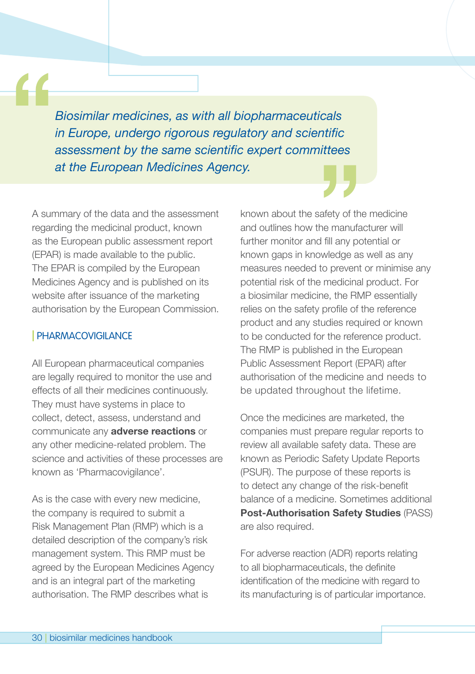*Biosimilar medicines, as with all biopharmaceuticals in Europe, undergo rigorous regulatory and scientific assessment by the same scientific expert committees at the European Medicines Agency.*

A summary of the data and the assessment regarding the medicinal product, known as the European public assessment report (EPAR) is made available to the public. The EPAR is compiled by the European Medicines Agency and is published on its website after issuance of the marketing authorisation by the European Commission.

#### | Pharmacovigilance

All European pharmaceutical companies are legally required to monitor the use and effects of all their medicines continuously. They must have systems in place to collect, detect, assess, understand and communicate any **adverse reactions** or any other medicine-related problem. The science and activities of these processes are known as 'Pharmacovigilance'.

As is the case with every new medicine, the company is required to submit a Risk Management Plan (RMP) which is a detailed description of the company's risk management system. This RMP must be agreed by the European Medicines Agency and is an integral part of the marketing authorisation. The RMP describes what is

known about the safety of the medicine and outlines how the manufacturer will further monitor and fill any potential or known gaps in knowledge as well as any measures needed to prevent or minimise any potential risk of the medicinal product. For a biosimilar medicine, the RMP essentially relies on the safety profile of the reference product and any studies required or known to be conducted for the reference product. The RMP is published in the European Public Assessment Report (EPAR) after authorisation of the medicine and needs to be updated throughout the lifetime.

Once the medicines are marketed, the companies must prepare regular reports to review all available safety data. These are known as Periodic Safety Update Reports (PSUR). The purpose of these reports is to detect any change of the risk-benefit balance of a medicine. Sometimes additional **Post-Authorisation Safety Studies** (PASS) are also required.

For adverse reaction (ADR) reports relating to all biopharmaceuticals, the definite identification of the medicine with regard to its manufacturing is of particular importance.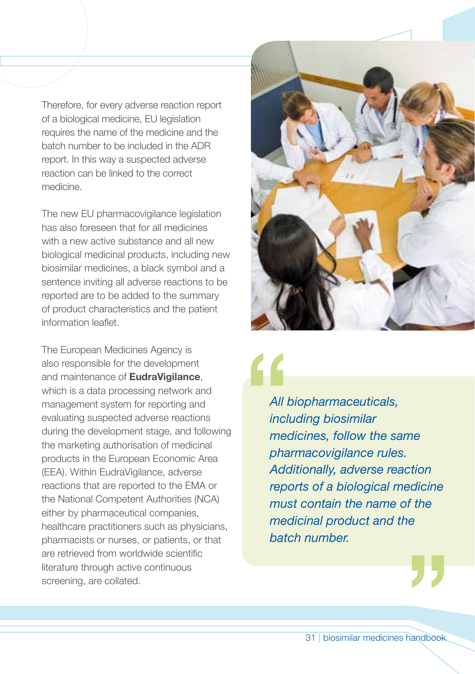Therefore, for every adverse reaction report of a biological medicine, EU legislation requires the name of the medicine and the batch number to be included in the ADR report. In this way a suspected adverse reaction can be linked to the correct medicine.

The new EU pharmacovigilance legislation has also foreseen that for all medicines with a new active substance and all new biological medicinal products, including new biosimilar medicines, a black symbol and a sentence inviting all adverse reactions to be reported are to be added to the summary of product characteristics and the patient information leaflet.

The European Medicines Agency is also responsible for the development and maintenance of **EudraVigilance**, which is a data processing network and management system for reporting and evaluating suspected adverse reactions during the development stage, and following the marketing authorisation of medicinal products in the European Economic Area (EEA). Within EudraVigilance, adverse reactions that are reported to the EMA or the National Competent Authorities (NCA) either by pharmaceutical companies, healthcare practitioners such as physicians, pharmacists or nurses, or patients, or that are retrieved from worldwide scientific literature through active continuous screening, are collated.



*All biopharmaceuticals, including biosimilar medicines, follow the same pharmacovigilance rules. Additionally, adverse reaction reports of a biological medicine must contain the name of the medicinal product and the batch number.*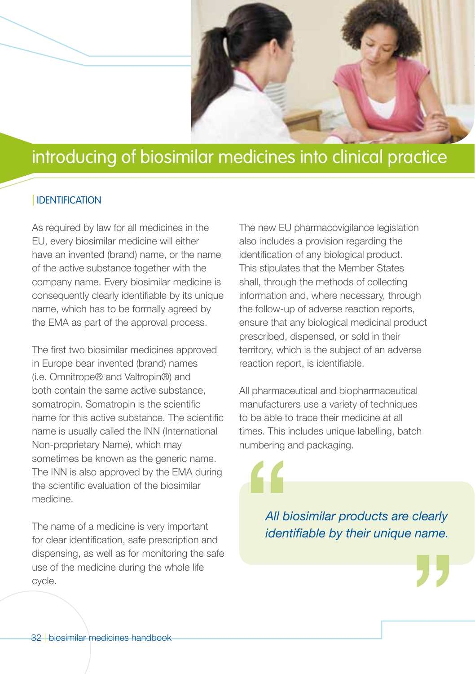

### introducing of biosimilar medicines into clinical practice

#### | Identification

As required by law for all medicines in the EU, every biosimilar medicine will either have an invented (brand) name, or the name of the active substance together with the company name. Every biosimilar medicine is consequently clearly identifiable by its unique name, which has to be formally agreed by the EMA as part of the approval process.

The first two biosimilar medicines approved in Europe bear invented (brand) names (i.e. Omnitrope® and Valtropin®) and both contain the same active substance, somatropin. Somatropin is the scientific name for this active substance. The scientific name is usually called the INN (International Non-proprietary Name), which may sometimes be known as the generic name. The INN is also approved by the EMA during the scientific evaluation of the biosimilar medicine.

The name of a medicine is very important for clear identification, safe prescription and dispensing, as well as for monitoring the safe use of the medicine during the whole life cycle.

The new EU pharmacovigilance legislation also includes a provision regarding the identification of any biological product. This stipulates that the Member States shall, through the methods of collecting information and, where necessary, through the follow-up of adverse reaction reports, ensure that any biological medicinal product prescribed, dispensed, or sold in their territory, which is the subject of an adverse reaction report, is identifiable.

All pharmaceutical and biopharmaceutical manufacturers use a variety of techniques to be able to trace their medicine at all times. This includes unique labelling, batch numbering and packaging.

> *All biosimilar products are clearly identifiable by their unique name.*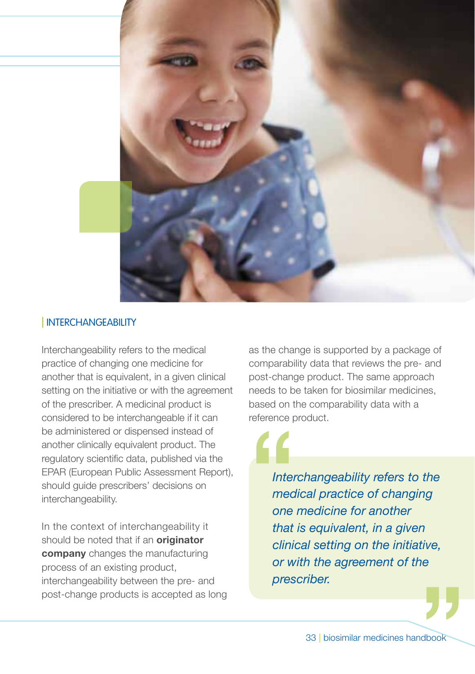

#### | Interchangeability

Interchangeability refers to the medical practice of changing one medicine for another that is equivalent, in a given clinical setting on the initiative or with the agreement of the prescriber. A medicinal product is considered to be interchangeable if it can be administered or dispensed instead of another clinically equivalent product. The regulatory scientific data, published via the EPAR (European Public Assessment Report), should guide prescribers' decisions on interchangeability.

In the context of interchangeability it should be noted that if an **originator company** changes the manufacturing process of an existing product, interchangeability between the pre- and post-change products is accepted as long as the change is supported by a package of comparability data that reviews the pre- and post-change product. The same approach needs to be taken for biosimilar medicines, based on the comparability data with a reference product.

> *Interchangeability refers to the medical practice of changing one medicine for another that is equivalent, in a given clinical setting on the initiative, or with the agreement of the prescriber.*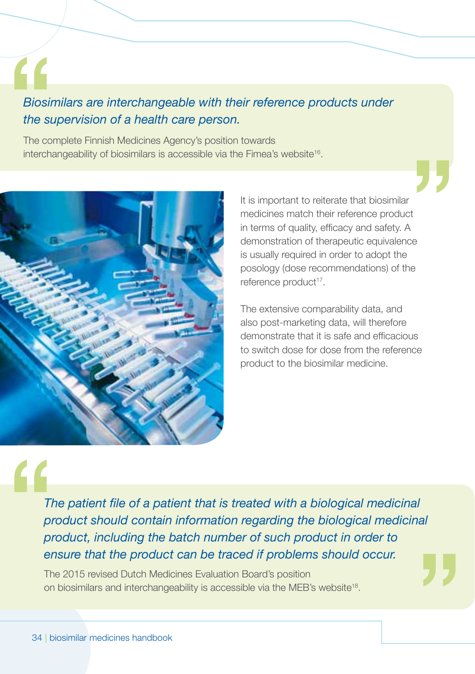### *Biosimilars are interchangeable with their reference products under the supervision of a health care person.*

The complete Finnish Medicines Agency's position towards interchangeability of biosimilars is accessible via the Fimea's website<sup>16</sup>.



It is important to reiterate that biosimilar medicines match their reference product in terms of quality, efficacy and safety. A demonstration of therapeutic equivalence is usually required in order to adopt the posology (dose recommendations) of the reference product<sup>17</sup>.

The extensive comparability data, and also post-marketing data, will therefore demonstrate that it is safe and efficacious to switch dose for dose from the reference product to the biosimilar medicine.

*The patient file of a patient that is treated with a biological medicinal product should contain information regarding the biological medicinal product, including the batch number of such product in order to ensure that the product can be traced if problems should occur.*

The 2015 revised Dutch Medicines Evaluation Board's position on biosimilars and interchangeability is accessible via the MEB's website<sup>18</sup>.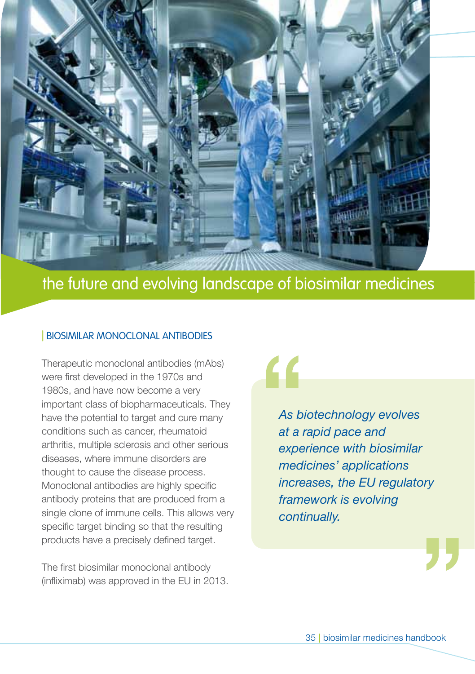

### the future and evolving landscape of biosimilar medicines

#### | Biosimilar Monoclonal Antibodies

Therapeutic monoclonal antibodies (mAbs) were first developed in the 1970s and 1980s, and have now become a very important class of biopharmaceuticals. They have the potential to target and cure many conditions such as cancer, rheumatoid arthritis, multiple sclerosis and other serious diseases, where immune disorders are thought to cause the disease process. Monoclonal antibodies are highly specific antibody proteins that are produced from a single clone of immune cells. This allows very specific target binding so that the resulting products have a precisely defined target.

The first biosimilar monoclonal antibody (infliximab) was approved in the EU in 2013. "

*As biotechnology evolves at a rapid pace and experience with biosimilar medicines' applications increases, the EU regulatory framework is evolving continually.*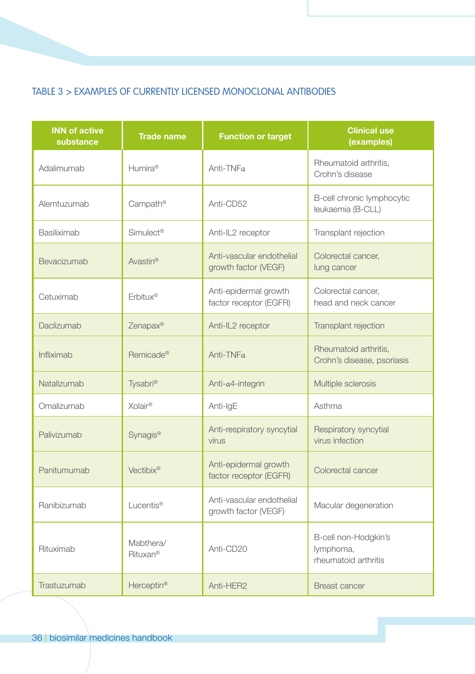#### Table 3 > Examples of currently licensed monoclonal antibodies

| <b>INN of active</b><br>substance | <b>Trade name</b>            | <b>Function or target</b>                         | <b>Clinical use</b><br>(examples)                         |
|-----------------------------------|------------------------------|---------------------------------------------------|-----------------------------------------------------------|
| Adalimumab                        | Humira <sup>®</sup>          | Anti-TNF $\alpha$                                 | Rheumatoid arthritis,<br>Crohn's disease                  |
| Alemtuzumab                       | Campath®                     | Anti-CD52                                         | B-cell chronic lymphocytic<br>leukaemia (B-CLL)           |
| Basiliximab                       | Simulect <sup>®</sup>        | Anti-IL2 receptor                                 | Transplant rejection                                      |
| Bevacizumab                       | Avastin®                     | Anti-vascular endothelial<br>growth factor (VEGF) | Colorectal cancer,<br>lung cancer                         |
| Cetuximab                         | Erbitux®                     | Anti-epidermal growth<br>factor receptor (EGFR)   | Colorectal cancer,<br>head and neck cancer                |
| Daclizumab                        | Zenapax <sup>®</sup>         | Anti-IL2 receptor                                 | Transplant rejection                                      |
| Infliximab                        | Remicade <sup>®</sup>        | Anti-TNF $\alpha$                                 | Rheumatoid arthritis,<br>Crohn's disease, psoriasis       |
| Natalizumab                       | Tysabri <sup>®</sup>         | Anti- $\alpha$ 4-integrin                         | Multiple sclerosis                                        |
| Omalizumab                        | Xolair®                      | Anti-IgE                                          | Asthma                                                    |
| Palivizumab                       | <b>Synagis®</b>              | Anti-respiratory syncytial<br>virus               | Respiratory syncytial<br>virus infection                  |
| Panitumumab                       | Vectibix®                    | Anti-epidermal growth<br>factor receptor (EGFR)   | Colorectal cancer                                         |
| Ranibizumab                       | Lucentis <sup>®</sup>        | Anti-vascular endothelial<br>growth factor (VEGF) | Macular degeneration                                      |
| Rituximab                         | Mabthera/<br><b>Rituxan®</b> | Anti-CD20                                         | B-cell non-Hodgkin's<br>lymphoma,<br>rheumatoid arthritis |
| Trastuzumab                       | Herceptin <sup>®</sup>       | Anti-HER2                                         | <b>Breast cancer</b>                                      |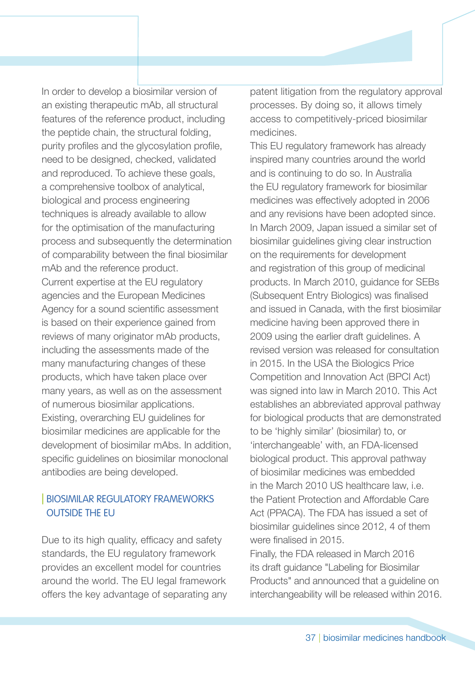In order to develop a biosimilar version of an existing therapeutic mAb, all structural features of the reference product, including the peptide chain, the structural folding, purity profiles and the glycosylation profile, need to be designed, checked, validated and reproduced. To achieve these goals, a comprehensive toolbox of analytical, biological and process engineering techniques is already available to allow for the optimisation of the manufacturing process and subsequently the determination of comparability between the final biosimilar mAb and the reference product. Current expertise at the EU regulatory agencies and the European Medicines Agency for a sound scientific assessment is based on their experience gained from reviews of many originator mAb products, including the assessments made of the many manufacturing changes of these products, which have taken place over many years, as well as on the assessment of numerous biosimilar applications. Existing, overarching EU guidelines for biosimilar medicines are applicable for the development of biosimilar mAbs. In addition, specific guidelines on biosimilar monoclonal antibodies are being developed.

#### | Biosimilar Regulatory Frameworks OUTSIDE THE EU

Due to its high quality, efficacy and safety standards, the EU regulatory framework provides an excellent model for countries around the world. The FU legal framework offers the key advantage of separating any patent litigation from the regulatory approval processes. By doing so, it allows timely access to competitively-priced biosimilar medicines.

This EU regulatory framework has already inspired many countries around the world and is continuing to do so. In Australia the EU regulatory framework for biosimilar medicines was effectively adopted in 2006 and any revisions have been adopted since. In March 2009, Japan issued a similar set of biosimilar guidelines giving clear instruction on the requirements for development and registration of this group of medicinal products. In March 2010, guidance for SEBs (Subsequent Entry Biologics) was finalised and issued in Canada, with the first biosimilar medicine having been approved there in 2009 using the earlier draft guidelines. A revised version was released for consultation in 2015. In the USA the Biologics Price Competition and Innovation Act (BPCI Act) was signed into law in March 2010. This Act establishes an abbreviated approval pathway for biological products that are demonstrated to be 'highly similar' (biosimilar) to, or 'interchangeable' with, an FDA-licensed biological product. This approval pathway of biosimilar medicines was embedded in the March 2010 US healthcare law, i.e. the Patient Protection and Affordable Care Act (PPACA). The FDA has issued a set of biosimilar guidelines since 2012, 4 of them were finalised in 2015. Finally, the FDA released in March 2016

its draft guidance "Labeling for Biosimilar Products" and announced that a guideline on interchangeability will be released within 2016.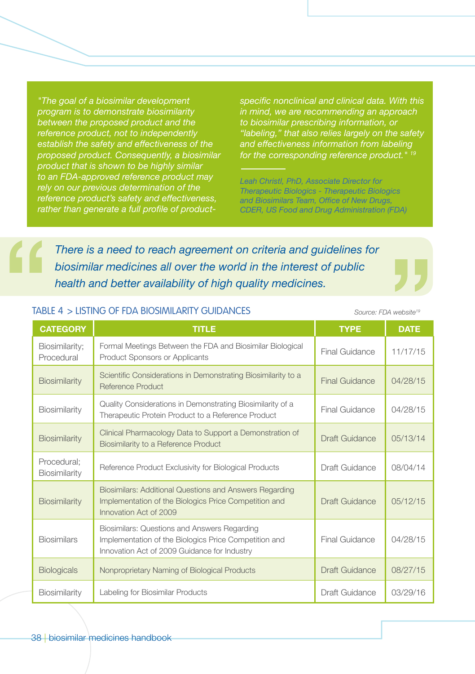*"The goal of a biosimilar development program is to demonstrate biosimilarity between the proposed product and the reference product, not to independently establish the safety and effectiveness of the proposed product. Consequently, a biosimilar product that is shown to be highly similar to an FDA-approved reference product may rely on our previous determination of the reference product's safety and effectiveness, rather than generate a full profile of product-* *specific nonclinical and clinical data. With this in mind, we are recommending an approach to biosimilar prescribing information, or "labeling," that also relies largely on the safety and effectiveness information from labeling for the corresponding reference product." 19*

*Leah Christl, PhD, Associate Director for Therapeutic Biologics - Therapeutic Biologics and Biosimilars Team, Office of New Drugs, CDER, US Food and Drug Administration (FDA)*

*There is a need to reach agreement on criteria and guidelines for biosimilar medicines all over the world in the interest of public health and better availability of high quality medicines.*

#### Table 4 > listing of FDA biosimilarity guidances

*Source: FDA website19*

| <b>CATEGORY</b>              | <b>TITLE</b>                                                                                                                                          | <b>TYPE</b>           | <b>DATE</b> |
|------------------------------|-------------------------------------------------------------------------------------------------------------------------------------------------------|-----------------------|-------------|
| Biosimilarity;<br>Procedural | Formal Meetings Between the FDA and Biosimilar Biological<br>Product Sponsors or Applicants                                                           | Final Guidance        | 11/17/15    |
| Biosimilarity                | Scientific Considerations in Demonstrating Biosimilarity to a<br>Reference Product                                                                    | <b>Final Guidance</b> | 04/28/15    |
| Biosimilarity                | Quality Considerations in Demonstrating Biosimilarity of a<br>Therapeutic Protein Product to a Reference Product                                      | Final Guidance        | 04/28/15    |
| <b>Biosimilarity</b>         | Clinical Pharmacology Data to Support a Demonstration of<br>Biosimilarity to a Reference Product                                                      | Draft Guidance        | 05/13/14    |
| Procedural:<br>Biosimilarity | Reference Product Exclusivity for Biological Products                                                                                                 | Draft Guidance        | 08/04/14    |
| Biosimilarity                | Biosimilars: Additional Questions and Answers Regarding<br>Implementation of the Biologics Price Competition and<br>Innovation Act of 2009            | <b>Draft Guidance</b> | 05/12/15    |
| <b>Biosimilars</b>           | Biosimilars: Questions and Answers Regarding<br>Implementation of the Biologics Price Competition and<br>Innovation Act of 2009 Guidance for Industry | Final Guidance        | 04/28/15    |
| <b>Biologicals</b>           | Nonproprietary Naming of Biological Products                                                                                                          | Draft Guidance        | 08/27/15    |
| Biosimilarity                | Labeling for Biosimilar Products                                                                                                                      | Draft Guidance        | 03/29/16    |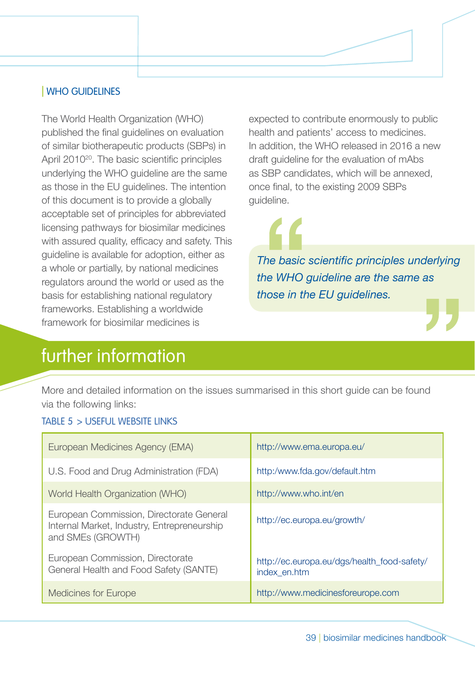#### | WHO Guidelines

The World Health Organization (WHO) published the final guidelines on evaluation of similar biotherapeutic products (SBPs) in April 2010<sup>20</sup>. The basic scientific principles underlying the WHO guideline are the same as those in the EU guidelines. The intention of this document is to provide a globally acceptable set of principles for abbreviated licensing pathways for biosimilar medicines with assured quality, efficacy and safety. This guideline is available for adoption, either as a whole or partially, by national medicines regulators around the world or used as the basis for establishing national regulatory frameworks. Establishing a worldwide framework for biosimilar medicines is

expected to contribute enormously to public health and patients' access to medicines. In addition, the WHO released in 2016 a new draft guideline for the evaluation of mAbs as SBP candidates, which will be annexed, once final, to the existing 2009 SBPs guideline.

*The basic scientific principles underlying the WHO guideline are the same as those in the EU guidelines.*

### further information

More and detailed information on the issues summarised in this short guide can be found via the following links:

#### TABLE  $5 > U$ SEFUL WEBSITE LINKS

| European Medicines Agency (EMA)                                                                              | http://www.ema.europa.eu/                                   |
|--------------------------------------------------------------------------------------------------------------|-------------------------------------------------------------|
| U.S. Food and Drug Administration (FDA)                                                                      | http:/www.fda.gov/default.htm                               |
| World Health Organization (WHO)                                                                              | http://www.who.int/en                                       |
| European Commission, Directorate General<br>Internal Market, Industry, Entrepreneurship<br>and SMEs (GROWTH) | http://ec.europa.eu/growth/                                 |
| European Commission, Directorate<br>General Health and Food Safety (SANTE)                                   | http://ec.europa.eu/dqs/health_food-safety/<br>index en.htm |
| <b>Medicines for Europe</b>                                                                                  | http://www.medicinesforeurope.com                           |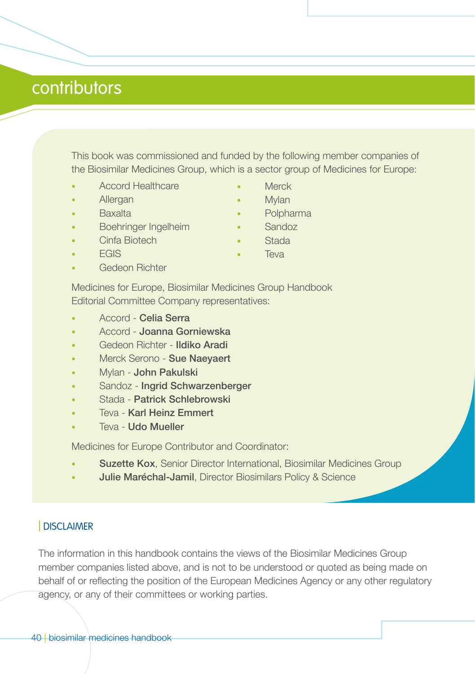### contributors

This book was commissioned and funded by the following member companies of the Biosimilar Medicines Group, which is a sector group of Medicines for Europe:

- Accord Healthcare
- **Allergan**
- Baxalta
- Boehringer Ingelheim
- Cinfa Biotech
- EGIS
- Gedeon Richter
- Merck
- Mylan
- Polpharma
- Sandoz
- Stada
- Teva

Medicines for Europe, Biosimilar Medicines Group Handbook Editorial Committee Company representatives:

- Accord Celia Serra
- Accord Joanna Gorniewska
- Gedeon Richter Ildiko Aradi
- Merck Serono Sue Naeyaert
- Mylan John Pakulski
- Sandoz Ingrid Schwarzenberger
- Stada Patrick Schlebrowski
- Teva Karl Heinz Emmert
- Teva Udo Mueller

Medicines for Europe Contributor and Coordinator:

- Suzette Kox, Senior Director International, Biosimilar Medicines Group
- Julie Maréchal-Jamil, Director Biosimilars Policy & Science

#### | Disclaimer

The information in this handbook contains the views of the Biosimilar Medicines Group member companies listed above, and is not to be understood or quoted as being made on behalf of or reflecting the position of the European Medicines Agency or any other regulatory agency, or any of their committees or working parties.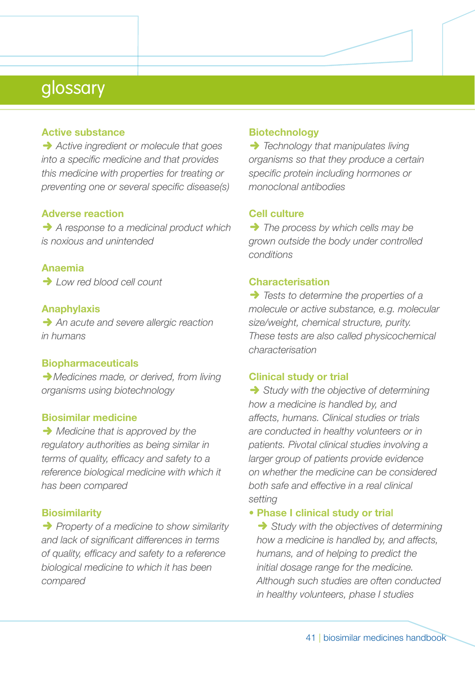### glossary

#### **Active substance**

**→** Active ingredient or molecule that goes *into a specific medicine and that provides this medicine with properties for treating or preventing one or several specific disease(s)*

#### **Adverse reaction**

**→** A response to a medicinal product which *is noxious and unintended*

#### **Anaemia**

**→** *Low red blood cell count* 

#### **Anaphylaxis**

**→** An [acute](http://en.wikipedia.org/wiki/Acute_%28medical%29) and severe [allergic](http://en.wikipedia.org/wiki/Allergy) reaction *in humans* 

#### **Biopharmaceuticals**

**→** *Medicines made, or derived, from living organisms using biotechnology*

#### **Biosimilar medicine**

**→** *Medicine that is approved by the regulatory authorities as being similar in terms of quality, efficacy and safety to a reference biological medicine with which it has been compared*

#### **Biosimilarity**

**→** Property of a medicine to show similarity *and lack of significant differences in terms of quality, efficacy and safety to a reference biological medicine to which it has been compared*

#### **Biotechnology**

 $\rightarrow$  *Technology that manipulates living organisms so that they produce a certain specific protein including hormones or monoclonal antibodies*

#### **Cell culture**

 $\rightarrow$  *The process by which cells may be grown outside the body under controlled conditions*

#### **Characterisation**

 $\rightarrow$  Tests to determine the properties of a *molecule or active substance, e.g. molecular size/weight, chemical structure, purity. These tests are also called physicochemical characterisation*

#### **Clinical study or trial**

**→** *Study with the objective of determining how a medicine is handled by, and affects, humans. Clinical studies or trials are conducted in healthy volunteers or in patients. Pivotal clinical studies involving a larger group of patients provide evidence on whether the medicine can be considered both safe and effective in a real clinical setting* 

**• Phase I clinical study or tria**l

**→** *Study with the objectives of determining how a medicine is handled by, and affects, humans, and of helping to predict the initial dosage range for the medicine. Although such studies are often conducted in healthy volunteers, phase I studies*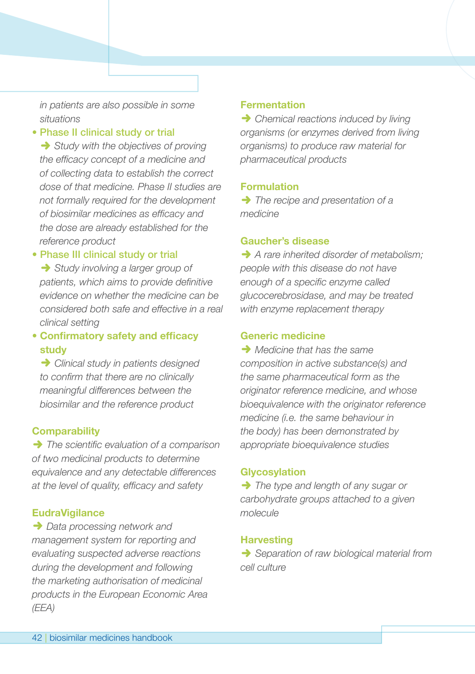*in patients are also possible in some situations*

#### • Phase II clinical study or trial

**→** Study with the objectives of proving *the efficacy concept of a medicine and of collecting data to establish the correct dose of that medicine. Phase II studies are not formally required for the development of biosimilar medicines as efficacy and the dose are already established for the reference product*

#### • Phase III clinical study or trial

→ *Study involving a larger group of patients, which aims to provide definitive evidence on whether the medicine can be considered both safe and effective in a real clinical setting*

#### • **Confirmatory safety and efficacy study**

**→** *Clinical study in patients designed to confirm that there are no clinically meaningful differences between the biosimilar and the reference product*

#### **Comparability**

**→** *The scientific evaluation of a comparison of two medicinal products to determine equivalence and any detectable differences at the level of quality, efficacy and safety*

#### **EudraVigilance**

**→ Data processing network and** *management system for reporting and evaluating suspected adverse reactions during the development and following the marketing authorisation of medicinal products in the European Economic Area (EEA)*

#### **Fermentation**

**→** *Chemical reactions induced by living organisms (or enzymes derived from living organisms) to produce raw material for pharmaceutical products*

#### **Formulation**

 $\rightarrow$  *The recipe and presentation of a medicine*

#### **Gaucher's disease**

A rare inherited disorder of metabolism: *people with this disease do not have enough of a specific enzyme called glucocerebrosidase, and may be treated with enzyme replacement therapy*

#### **Generic medicine**

 $\rightarrow$  *Medicine that has the same composition in active substance(s) and the same pharmaceutical form as the originator reference medicine, and whose bioequivalence with the originator reference medicine (i.e. the same behaviour in the body) has been demonstrated by appropriate bioequivalence studies*

#### **Glycosylation**

 $\rightarrow$  *The type and length of any sugar or carbohydrate groups attached to a given molecule*

#### **Harvesting**

**→** Separation of raw biological material from *cell culture*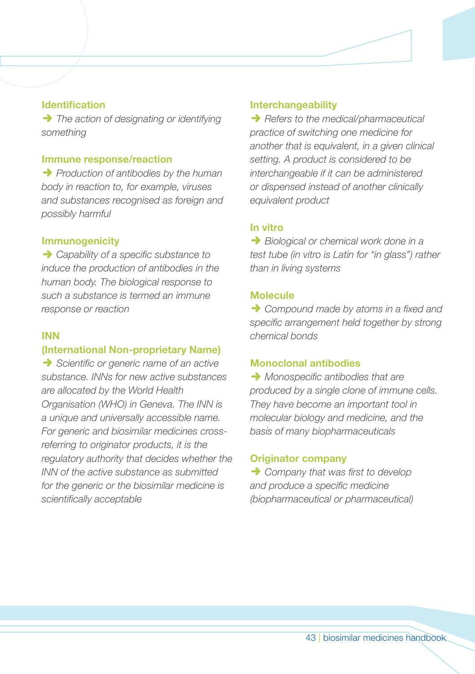#### **Identification**

**→** *The action of designating or identifying something*

#### **Immune response/reaction**

**→** *Production of antibodies by the human body in reaction to, for example, viruses and substances recognised as foreign and possibly harmful*

#### **Immunogenicity**

**→ Capability of a specific substance to** *induce the production of antibodies in the human body. The biological response to such a substance is termed an immune response or reaction*

#### **INN**

#### **(International Non-proprietary Name)**

**→** Scientific or generic name of an active *substance. INNs for new active substances are allocated by the World Health Organisation (WHO) in Geneva. The INN is a unique and universally accessible name. For generic and biosimilar medicines crossreferring to originator products, it is the regulatory authority that decides whether the INN of the active substance as submitted for the generic or the biosimilar medicine is scientifically acceptable*

#### **Interchangeability**

D *Refers to the medical/pharmaceutical practice of switching one medicine for another that is equivalent, in a given clinical setting. A product is considered to be interchangeable if it can be administered or dispensed instead of another clinically equivalent product* 

#### **In vitro**

**→** Biological or chemical work done in a *test tube (in vitro is Latin for "in glass") rather than in living systems*

#### **Molecule**

**→ Compound made by atoms in a fixed and** *specific arrangement held together by strong [chemical bonds](http://en.wikipedia.org/wiki/Chemical_bond)*

#### **Monoclonal antibodies**

**→ Monospecific antibodies that are** *produced by a single clone of immune cells. They have become an important tool in molecular biology and medicine, and the basis of many biopharmaceuticals* 

#### **Originator company**

**→ Company that was first to develop** *and produce a specific medicine (biopharmaceutical or pharmaceutical)*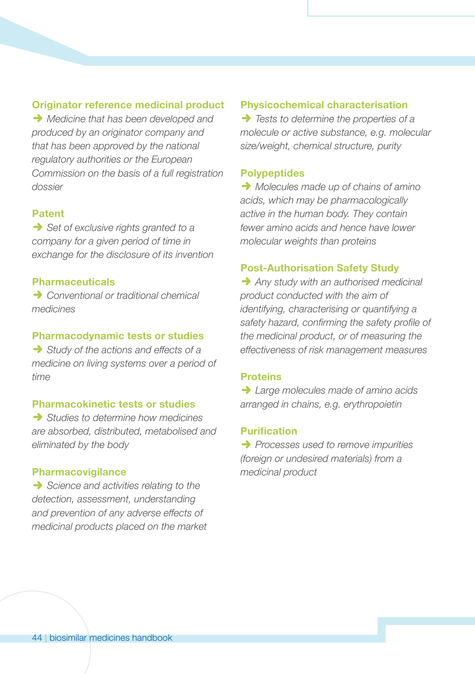#### **Originator reference medicinal product**

 $\rightarrow$  *Medicine that has been developed and produced by an originator company and that has been approved by the national regulatory authorities or the European Commission on the basis of a full registration dossier*

#### **Patent**

**→** Set of [exclusive rights](http://en.wikipedia.org/wiki/Exclusive_right) granted to a *company for a [given period of time](http://en.wikipedia.org/wiki/Term_of_patent) in exchange for the disclosure of its [invention](http://en.wikipedia.org/wiki/Invention)*

#### **Pharmaceuticals**

D *Conventional or traditional chemical medicines*

#### **Pharmacodynamic tests or studies**

**→** *Study of the actions and effects of a medicine on living systems over a period of time*

#### **Pharmacokinetic tests or studies**

D *Studies to determine how medicines are absorbed, distributed, metabolised and eliminated by the body*

#### **Pharmacovigilance**

**→** *Science and activities relating to the detection, assessment, understanding and prevention of any adverse effects of medicinal products placed on the market*

#### **Physicochemical characterisation**

D *Tests to determine the properties of a molecule or active substance, e.g. molecular size/weight, chemical structure, purity*

#### **Polypeptides**

**→ Molecules made up of chains of amino** *acids, which may be pharmacologically active in the human body. They contain fewer amino acids and hence have lower molecular weights than proteins*

#### **Post-Authorisation Safety Study**

D *Any study with an authorised medicinal product conducted with the aim of identifying, characterising or quantifying a safety hazard, confirming the safety profile of the medicinal product, or of measuring the effectiveness of risk management measures*

#### **Proteins**

D *Large molecules made of amino acids arranged in chains, e.g. erythropoietin*

#### **Purification**

D *Processes used to remove impurities (foreign or undesired materials) from a medicinal product*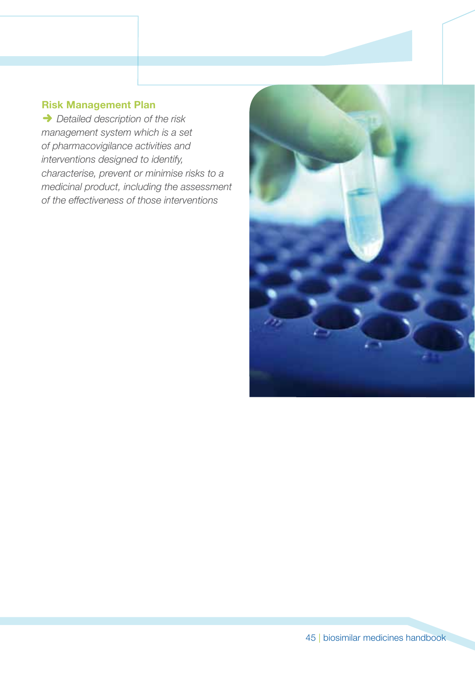#### **Risk Management Plan**

**→** *Detailed description of the risk management system which is a set of pharmacovigilance activities and interventions designed to identify, characterise, prevent or minimise risks to a medicinal product, including the assessment of the effectiveness of those interventions*

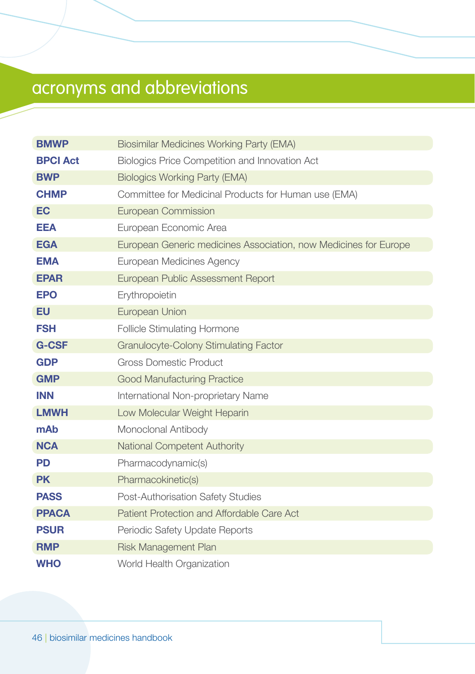## acronyms and abbreviations

| <b>BMWP</b>     | <b>Biosimilar Medicines Working Party (EMA)</b>                  |
|-----------------|------------------------------------------------------------------|
| <b>BPCI Act</b> | Biologics Price Competition and Innovation Act                   |
| <b>BWP</b>      | Biologics Working Party (EMA)                                    |
| <b>CHMP</b>     | Committee for Medicinal Products for Human use (EMA)             |
| <b>EC</b>       | European Commission                                              |
| EEA             | European Economic Area                                           |
| <b>EGA</b>      | European Generic medicines Association, now Medicines for Europe |
| <b>EMA</b>      | European Medicines Agency                                        |
| <b>EPAR</b>     | European Public Assessment Report                                |
| <b>EPO</b>      | Erythropoietin                                                   |
| <b>EU</b>       | European Union                                                   |
| <b>FSH</b>      | <b>Follicle Stimulating Hormone</b>                              |
| <b>G-CSF</b>    | <b>Granulocyte-Colony Stimulating Factor</b>                     |
| <b>GDP</b>      | <b>Gross Domestic Product</b>                                    |
| <b>GMP</b>      | <b>Good Manufacturing Practice</b>                               |
| <b>INN</b>      | International Non-proprietary Name                               |
| <b>LMWH</b>     | Low Molecular Weight Heparin                                     |
| mAb             | Monoclonal Antibody                                              |
| <b>NCA</b>      | National Competent Authority                                     |
| <b>PD</b>       | Pharmacodynamic(s)                                               |
| <b>PK</b>       | Pharmacokinetic(s)                                               |
| <b>PASS</b>     | <b>Post-Authorisation Safety Studies</b>                         |
| <b>PPACA</b>    | Patient Protection and Affordable Care Act                       |
| <b>PSUR</b>     | Periodic Safety Update Reports                                   |
| <b>RMP</b>      | <b>Risk Management Plan</b>                                      |
| <b>WHO</b>      | World Health Organization                                        |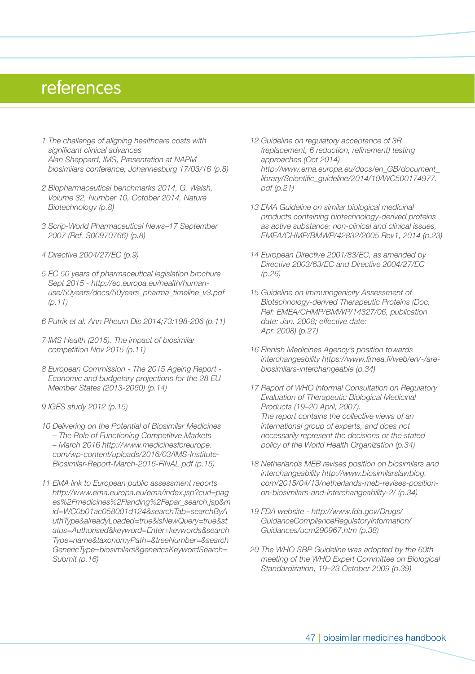### references

- *1 The challenge of aligning healthcare costs with significant clinical advances Alan Sheppard, IMS, Presentation at NAPM biosimilars conference, Johannesburg 17/03/16 (p.8)*
- *2 Biopharmaceutical benchmarks 2014, G. Walsh, Volume 32, Number 10, October 2014, Nature Biotechnology (p.8)*
- *3 Scrip-World Pharmaceutical News–17 September 2007 (Ref. S00970766) (p.8)*
- *4 Directive 2004/27/EC (p.9)*
- *5 EC 50 years of pharmaceutical legislation brochure Sept 2015 - http://ec.europa.eu/health/humanuse/50years/docs/50years\_pharma\_timeline\_v3.pdf (p.11)*
- *6 Putrik et al. Ann Rheum Dis 2014;73:198-206 (p.11)*
- *7 IMS Health (2015). The impact of biosimilar competition Nov 2015 (p.11)*
- *8 European Commission The 2015 Ageing Report Economic and budgetary projections for the 28 EU Member States (2013-2060) (p.14)*
- *9 IGES study 2012 (p.15)*
- *10 Delivering on the Potential of Biosimilar Medicines – The Role of Functioning Competitive Markets – March 2016 http://www.medicinesforeurope. com/wp-content/uploads/2016/03/IMS-Institute-Biosimilar-Report-March-2016-FINAL.pdf (p.15)*
- *11 EMA link to European public assessment reports http://www.ema.europa.eu/ema/index.jsp?curl=pag es%2Fmedicines%2Flanding%2Fepar\_search.jsp&m id=WC0b01ac058001d124&searchTab=searchByA uthType&alreadyLoaded=true&isNewQuery=true&st atus=Authorised&keyword=Enter+keywords&search Type=name&taxonomyPath=&treeNumber=&search GenericType=biosimilars&genericsKeywordSearch= Submit (p.16)*
- *12 Guideline on regulatory acceptance of 3R (replacement, 6 reduction, refinement) testing approaches (Oct 2014) http://www.ema.europa.eu/docs/en\_GB/document\_ library/Scientific\_guideline/2014/10/WC500174977. pdf (p.21)*
- *13 EMA Guideline on similar biological medicinal products containing biotechnology-derived proteins as active substance: non-clinical and clinical issues, EMEA/CHMP/BMWP/42832/2005 Rev1, 2014 (p.23)*
- *14 European Directive 2001/83/EC, as amended by Directive 2003/63/EC and Directive 2004/27/EC (p.26)*
- *15 Guideline on Immunogenicity Assessment of Biotechnology-derived Therapeutic Proteins (Doc. Ref: EMEA/CHMP/BMWP/14327/06, publication date: Jan. 2008; effective date: Apr. 2008) (p.27)*
- *16 Finnish Medicines Agency's position towards interchangeability https://www.fimea.fi/web/en/-/arebiosimilars-interchangeable (p.34)*
- *17 Report of WHO Informal Consultation on Regulatory Evaluation of Therapeutic Biological Medicinal Products (19–20 April, 2007). The report contains the collective views of an international group of experts, and does not necessarily represent the decisions or the stated policy of the World Health Organization (p.34)*
- *18 Netherlands MEB revises position on biosimilars and interchangeability http://www.biosimilarslawblog. com/2015/04/13/netherlands-meb-revises-positionon-biosimilars-and-interchangeability-2/ (p.34)*
- *19 FDA website http://www.fda.gov/Drugs/ GuidanceComplianceRegulatoryInformation/ Guidances/ucm290967.htm (p.38)*
- *20 The WHO SBP Guideline was adopted by the 60th meeting of the WHO Expert Committee on Biological Standardization, 19–23 October 2009 (p.39)*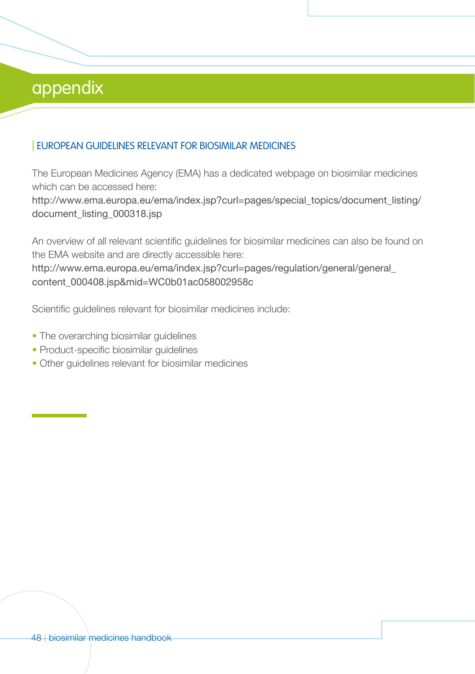### appendix

#### | European Guidelines Relevant for Biosimilar Medicines

The European Medicines Agency (EMA) has a dedicated webpage on biosimilar medicines which can be accessed here:

http://www.ema.europa.eu/ema/index.jsp?curl=pages/special\_topics/document\_listing/ document\_listing\_000318.jsp

An overview of all relevant scientific guidelines for biosimilar medicines can also be found on the EMA website and are directly accessible here: http://www.ema.europa.eu/ema/index.jsp?curl=pages/regulation/general/general\_ content\_000408.jsp&mid=WC0b01ac058002958c

Scientific guidelines relevant for biosimilar medicines include:

- The overarching biosimilar guidelines
- Product-specific biosimilar guidelines
- Other guidelines relevant for biosimilar medicines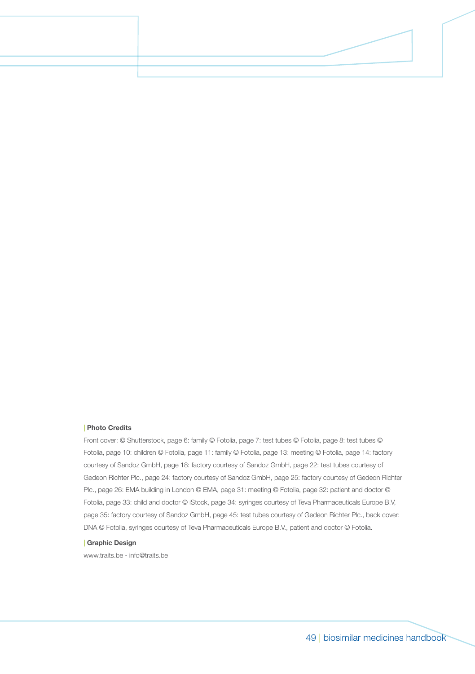#### **| Photo Credits**

Front cover: © Shutterstock, page 6: family © Fotolia, page 7: test tubes © Fotolia, page 8: test tubes © Fotolia, page 10: children © Fotolia, page 11: family © Fotolia, page 13: meeting © Fotolia, page 14: factory courtesy of Sandoz GmbH, page 18: factory courtesy of Sandoz GmbH, page 22: test tubes courtesy of Gedeon Richter Plc., page 24: factory courtesy of Sandoz GmbH, page 25: factory courtesy of Gedeon Richter Plc., page 26: EMA building in London © EMA, page 31: meeting © Fotolia, page 32: patient and doctor © Fotolia, page 33: child and doctor © iStock, page 34: syringes courtesy of Teva Pharmaceuticals Europe B.V, page 35: factory courtesy of Sandoz GmbH, page 45: test tubes courtesy of Gedeon Richter Plc., back cover: DNA © Fotolia, syringes courtesy of Teva Pharmaceuticals Europe B.V., patient and doctor © Fotolia.

#### **| Graphic Design**

www.traits.be - info@traits.be